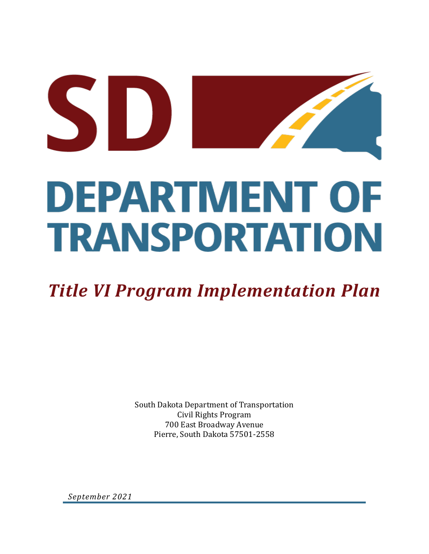# SD **DEPARTMENT OF TRANSPORTATION**

# *Title VI Program Implementation Plan*

South Dakota Department of Transportation Civil Rights Program 700 East Broadway Avenue Pierre, South Dakota 57501-2558

*September 2021*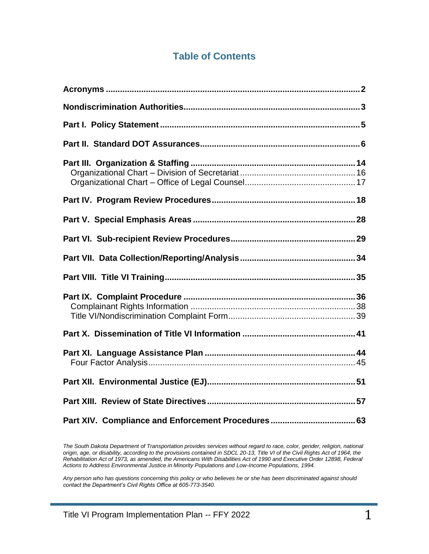## **Table of Contents**

*The South Dakota Department of Transportation provides services without regard to race, color, gender, religion, national origin, age, or disability, according to the provisions contained in SDCL 20-13, Title VI of the Civil Rights Act of 1964, the Rehabilitation Act of 1973, as amended, the Americans With Disabilities Act of 1990 and Executive Order 12898, Federal Actions to Address Environmental Justice in Minority Populations and Low-Income Populations, 1994.* 

*Any person who has questions concerning this policy or who believes he or she has been discriminated against should contact the Department's Civil Rights Office at 605-773-3540.*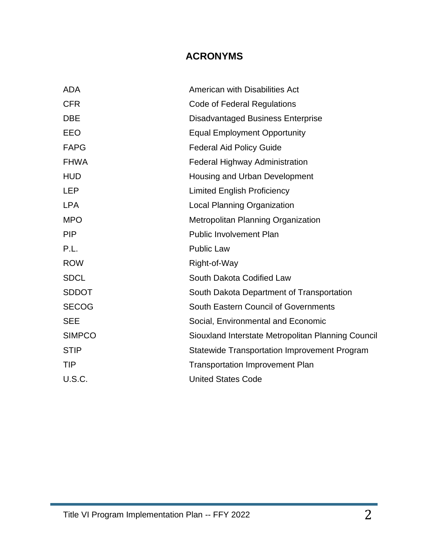## **ACRONYMS**

| <b>ADA</b>    | American with Disabilities Act                      |
|---------------|-----------------------------------------------------|
| <b>CFR</b>    | Code of Federal Regulations                         |
| <b>DBE</b>    | <b>Disadvantaged Business Enterprise</b>            |
| EEO           | <b>Equal Employment Opportunity</b>                 |
| <b>FAPG</b>   | <b>Federal Aid Policy Guide</b>                     |
| <b>FHWA</b>   | <b>Federal Highway Administration</b>               |
| <b>HUD</b>    | Housing and Urban Development                       |
| <b>LEP</b>    | <b>Limited English Proficiency</b>                  |
| <b>LPA</b>    | <b>Local Planning Organization</b>                  |
| <b>MPO</b>    | <b>Metropolitan Planning Organization</b>           |
| <b>PIP</b>    | <b>Public Involvement Plan</b>                      |
| P.L.          | <b>Public Law</b>                                   |
| <b>ROW</b>    | Right-of-Way                                        |
| <b>SDCL</b>   | South Dakota Codified Law                           |
| <b>SDDOT</b>  | South Dakota Department of Transportation           |
| <b>SECOG</b>  | South Eastern Council of Governments                |
| <b>SEE</b>    | Social, Environmental and Economic                  |
| <b>SIMPCO</b> | Siouxland Interstate Metropolitan Planning Council  |
| <b>STIP</b>   | <b>Statewide Transportation Improvement Program</b> |
| <b>TIP</b>    | <b>Transportation Improvement Plan</b>              |
| U.S.C.        | <b>United States Code</b>                           |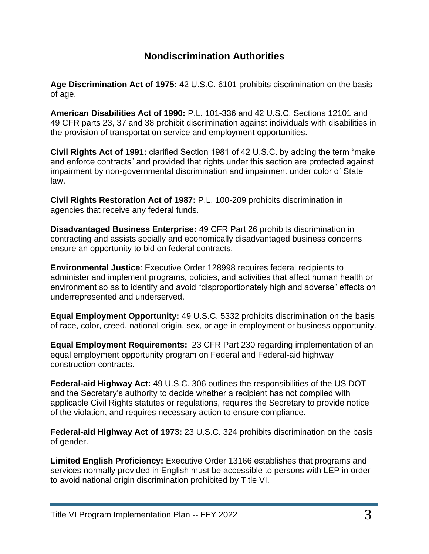## **Nondiscrimination Authorities**

**Age Discrimination Act of 1975:** 42 U.S.C. 6101 prohibits discrimination on the basis of age.

**American Disabilities Act of 1990:** P.L. 101-336 and 42 U.S.C. Sections 12101 and 49 CFR parts 23, 37 and 38 prohibit discrimination against individuals with disabilities in the provision of transportation service and employment opportunities.

**Civil Rights Act of 1991:** clarified Section 1981 of 42 U.S.C. by adding the term "make and enforce contracts" and provided that rights under this section are protected against impairment by non-governmental discrimination and impairment under color of State law.

**Civil Rights Restoration Act of 1987:** P.L. 100-209 prohibits discrimination in agencies that receive any federal funds.

**Disadvantaged Business Enterprise:** 49 CFR Part 26 prohibits discrimination in contracting and assists socially and economically disadvantaged business concerns ensure an opportunity to bid on federal contracts.

**Environmental Justice**: Executive Order 128998 requires federal recipients to administer and implement programs, policies, and activities that affect human health or environment so as to identify and avoid "disproportionately high and adverse" effects on underrepresented and underserved.

**Equal Employment Opportunity:** 49 U.S.C. 5332 prohibits discrimination on the basis of race, color, creed, national origin, sex, or age in employment or business opportunity.

**Equal Employment Requirements:** 23 CFR Part 230 regarding implementation of an equal employment opportunity program on Federal and Federal-aid highway construction contracts.

**Federal-aid Highway Act:** 49 U.S.C. 306 outlines the responsibilities of the US DOT and the Secretary's authority to decide whether a recipient has not complied with applicable Civil Rights statutes or regulations, requires the Secretary to provide notice of the violation, and requires necessary action to ensure compliance.

**Federal-aid Highway Act of 1973:** 23 U.S.C. 324 prohibits discrimination on the basis of gender.

**Limited English Proficiency:** Executive Order 13166 establishes that programs and services normally provided in English must be accessible to persons with LEP in order to avoid national origin discrimination prohibited by Title VI.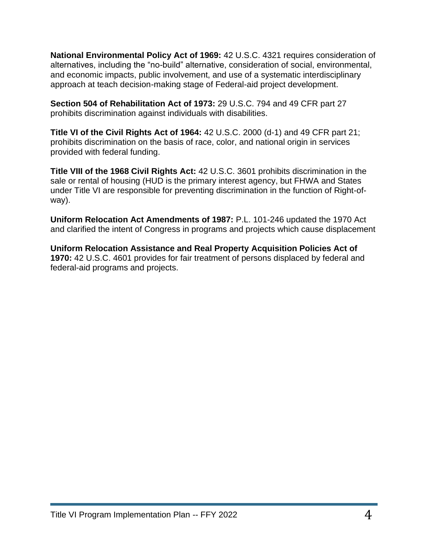**National Environmental Policy Act of 1969:** 42 U.S.C. 4321 requires consideration of alternatives, including the "no-build" alternative, consideration of social, environmental, and economic impacts, public involvement, and use of a systematic interdisciplinary approach at teach decision-making stage of Federal-aid project development.

**Section 504 of Rehabilitation Act of 1973:** 29 U.S.C. 794 and 49 CFR part 27 prohibits discrimination against individuals with disabilities.

**Title VI of the Civil Rights Act of 1964:** 42 U.S.C. 2000 (d-1) and 49 CFR part 21; prohibits discrimination on the basis of race, color, and national origin in services provided with federal funding.

**Title VIII of the 1968 Civil Rights Act:** 42 U.S.C. 3601 prohibits discrimination in the sale or rental of housing (HUD is the primary interest agency, but FHWA and States under Title VI are responsible for preventing discrimination in the function of Right-ofway).

**Uniform Relocation Act Amendments of 1987:** P.L. 101-246 updated the 1970 Act and clarified the intent of Congress in programs and projects which cause displacement

**Uniform Relocation Assistance and Real Property Acquisition Policies Act of 1970:** 42 U.S.C. 4601 provides for fair treatment of persons displaced by federal and federal-aid programs and projects.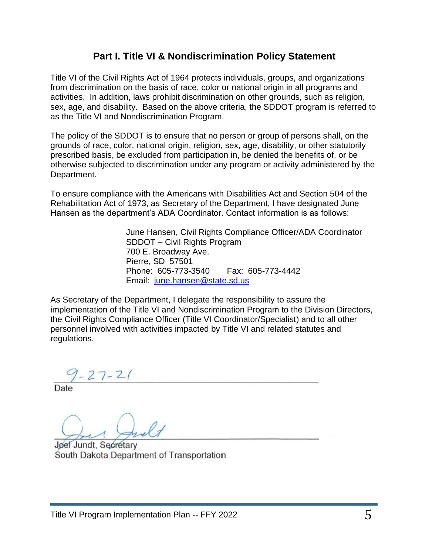## **Part I. Title VI & Nondiscrimination Policy Statement**

Title VI of the Civil Rights Act of 1964 protects individuals, groups, and organizations from discrimination on the basis of race, color or national origin in all programs and activities. In addition, laws prohibit discrimination on other grounds, such as religion, sex, age, and disability. Based on the above criteria, the SDDOT program is referred to as the Title VI and Nondiscrimination Program.

The policy of the SDDOT is to ensure that no person or group of persons shall, on the grounds of race, color, national origin, religion, sex, age, disability, or other statutorily prescribed basis, be excluded from participation in, be denied the benefits of, or be otherwise subjected to discrimination under any program or activity administered by the Department.

To ensure compliance with the Americans with Disabilities Act and Section 504 of the Rehabilitation Act of 1973, as Secretary of the Department, I have designated June Hansen as the department's ADA Coordinator. Contact information is as follows:

> June Hansen, Civil Rights Compliance Officer/ADA Coordinator SDDOT – Civil Rights Program 700 E. Broadway Ave. Pierre, SD 57501 Phone: 605-773-3540 Fax: 605-773-4442 Email: [june.hansen@state.sd.us](mailto:june.hansen@state.sd.us)

As Secretary of the Department, I delegate the responsibility to assure the implementation of the Title VI and Nondiscrimination Program to the Division Directors, the Civil Rights Compliance Officer (Title VI Coordinator/Specialist) and to all other personnel involved with activities impacted by Title VI and related statutes and regulations.

 $9 - 27 - 21$ 

Date

Jøel Jundt, Secretary South Dakota Department of Transportation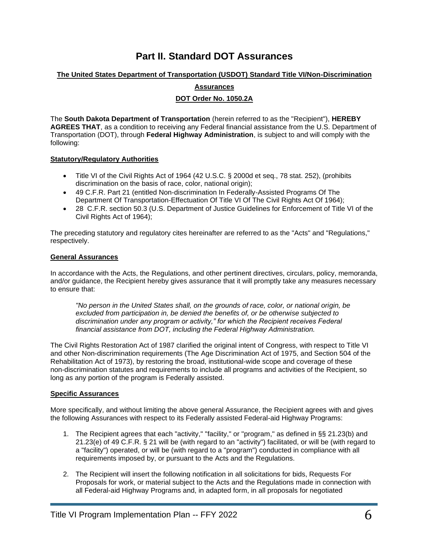## **Part II. Standard DOT Assurances**

#### **The United States Department of Transportation (USDOT) Standard Title VI/Non-Discrimination**

**Assurances** 

#### **DOT Order No. 1050.2A**

The **South Dakota Department of Transportation** (herein referred to as the "Recipient"), **HEREBY AGREES THAT**, as a condition to receiving any Federal financial assistance from the U.S. Department of Transportation (DOT), through **Federal Highway Administration**, is subject to and will comply with the following:

#### **Statutory/Regulatory Authorities**

- Title VI of the Civil Rights Act of 1964 (42 U.S.C. § 2000d et seq., 78 stat. 252), (prohibits discrimination on the basis of race, color, national origin);
- 49 C.F.R. Part 21 (entitled Non-discrimination In Federally-Assisted Programs Of The Department Of Transportation-Effectuation Of Title VI Of The Civil Rights Act Of 1964);
- 28 C.F.R. section 50.3 (U.S. Department of Justice Guidelines for Enforcement of Title VI of the Civil Rights Act of 1964);

The preceding statutory and regulatory cites hereinafter are referred to as the "Acts" and "Regulations," respectively.

#### **General Assurances**

In accordance with the Acts, the Regulations, and other pertinent directives, circulars, policy, memoranda, and/or guidance, the Recipient hereby gives assurance that it will promptly take any measures necessary to ensure that:

*"No person in the United States shall, on the grounds of race, color, or national origin, be excluded from participation in, be denied the benefits of, or be otherwise subjected to discrimination under any program or activity," for which the Recipient receives Federal financial assistance from DOT, including the Federal Highway Administration.*

The Civil Rights Restoration Act of 1987 clarified the original intent of Congress, with respect to Title VI and other Non-discrimination requirements (The Age Discrimination Act of 1975, and Section 504 of the Rehabilitation Act of 1973), by restoring the broad, institutional-wide scope and coverage of these non-discrimination statutes and requirements to include all programs and activities of the Recipient, so long as any portion of the program is Federally assisted.

#### **Specific Assurances**

More specifically, and without limiting the above general Assurance, the Recipient agrees with and gives the following Assurances with respect to its Federally assisted Federal-aid Highway Programs:

- 1. The Recipient agrees that each "activity," "facility," or "program," as defined in §§ 21.23(b) and 21.23(e) of 49 C.F.R. § 21 will be (with regard to an "activity") facilitated, or will be (with regard to a "facility") operated, or will be (with regard to a "program") conducted in compliance with all requirements imposed by, or pursuant to the Acts and the Regulations.
- 2. The Recipient will insert the following notification in all solicitations for bids, Requests For Proposals for work, or material subject to the Acts and the Regulations made in connection with all Federal-aid Highway Programs and, in adapted form, in all proposals for negotiated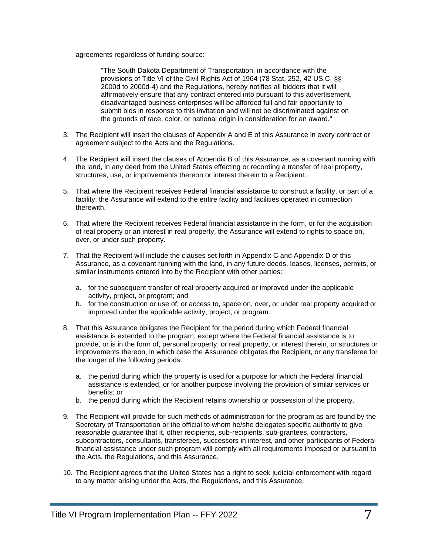agreements regardless of funding source:

"The South Dakota Department of Transportation, in accordance with the provisions of Title VI of the Civil Rights Act of 1964 (78 Stat. 252, 42 US.C. §§ 2000d to 2000d-4) and the Regulations, hereby notifies all bidders that it will affirmatively ensure that any contract entered into pursuant to this advertisement, disadvantaged business enterprises will be afforded full and fair opportunity to submit bids in response to this invitation and will not be discriminated against on the grounds of race, color, or national origin in consideration for an award."

- 3. The Recipient will insert the clauses of Appendix A and E of this Assurance in every contract or agreement subject to the Acts and the Regulations.
- 4. The Recipient will insert the clauses of Appendix B of this Assurance, as a covenant running with the land, in any deed from the United States effecting or recording a transfer of real property, structures, use, or improvements thereon or interest therein to a Recipient.
- 5. That where the Recipient receives Federal financial assistance to construct a facility, or part of a facility, the Assurance will extend to the entire facility and facilities operated in connection therewith.
- 6. That where the Recipient receives Federal financial assistance in the form, or for the acquisition of real property or an interest in real property, the Assurance will extend to rights to space on, over, or under such property.
- 7. That the Recipient will include the clauses set forth in Appendix C and Appendix D of this Assurance, as a covenant running with the land, in any future deeds, leases, licenses, permits, or similar instruments entered into by the Recipient with other parties:
	- a. for the subsequent transfer of real property acquired or improved under the applicable activity, project, or program; and
	- b. for the construction or use of, or access to, space on, over, or under real property acquired or improved under the applicable activity, project, or program.
- 8. That this Assurance obligates the Recipient for the period during which Federal financial assistance is extended to the program, except where the Federal financial assistance is to provide, or is in the form of, personal property, or real property, or interest therein, or structures or improvements thereon, in which case the Assurance obligates the Recipient, or any transferee for the longer of the following periods:
	- a. the period during which the property is used for a purpose for which the Federal financial assistance is extended, or for another purpose involving the provision of similar services or benefits; or
	- b. the period during which the Recipient retains ownership or possession of the property.
- 9. The Recipient will provide for such methods of administration for the program as are found by the Secretary of Transportation or the official to whom he/she delegates specific authority to give reasonable guarantee that it, other recipients, sub-recipients, sub-grantees, contractors, subcontractors, consultants, transferees, successors in interest, and other participants of Federal financial assistance under such program will comply with all requirements imposed or pursuant to the Acts, the Regulations, and this Assurance.
- 10. The Recipient agrees that the United States has a right to seek judicial enforcement with regard to any matter arising under the Acts, the Regulations, and this Assurance.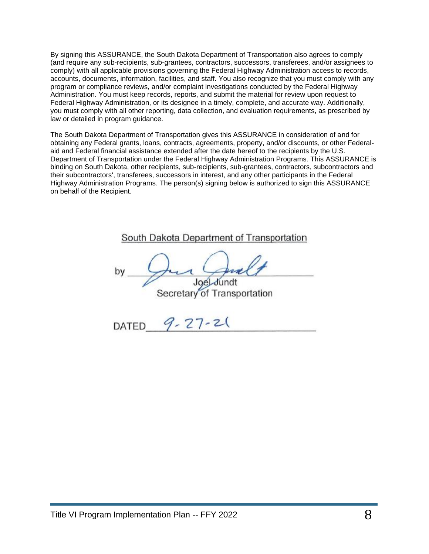By signing this ASSURANCE, the South Dakota Department of Transportation also agrees to comply (and require any sub-recipients, sub-grantees, contractors, successors, transferees, and/or assignees to comply) with all applicable provisions governing the Federal Highway Administration access to records, accounts, documents, information, facilities, and staff. You also recognize that you must comply with any program or compliance reviews, and/or complaint investigations conducted by the Federal Highway Administration. You must keep records, reports, and submit the material for review upon request to Federal Highway Administration, or its designee in a timely, complete, and accurate way. Additionally, you must comply with all other reporting, data collection, and evaluation requirements, as prescribed by law or detailed in program guidance.

The South Dakota Department of Transportation gives this ASSURANCE in consideration of and for obtaining any Federal grants, loans, contracts, agreements, property, and/or discounts, or other Federalaid and Federal financial assistance extended after the date hereof to the recipients by the U.S. Department of Transportation under the Federal Highway Administration Programs. This ASSURANCE is binding on South Dakota, other recipients, sub-recipients, sub-grantees, contractors, subcontractors and their subcontractors', transferees, successors in interest, and any other participants in the Federal Highway Administration Programs. The person(s) signing below is authorized to sign this ASSURANCE on behalf of the Recipient.

#### South Dakota Department of Transportation

bν Secretary of Transportation

 $9 - 27 - 21$ **DATED**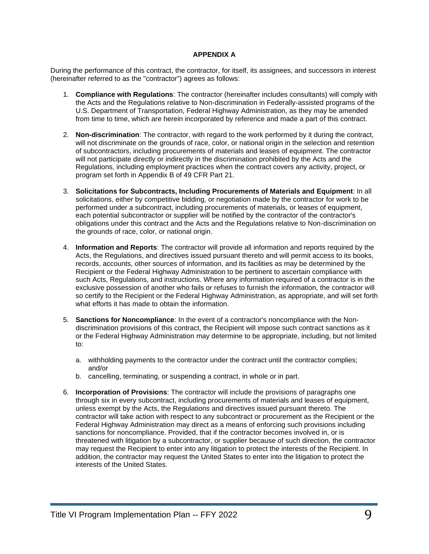#### **APPENDIX A**

During the performance of this contract, the contractor, for itself, its assignees, and successors in interest (hereinafter referred to as the "contractor") agrees as follows:

- 1. **Compliance with Regulations**: The contractor (hereinafter includes consultants) will comply with the Acts and the Regulations relative to Non-discrimination in Federally-assisted programs of the U.S. Department of Transportation, Federal Highway Administration, as they may be amended from time to time, which are herein incorporated by reference and made a part of this contract.
- 2. **Non-discrimination**: The contractor, with regard to the work performed by it during the contract, will not discriminate on the grounds of race, color, or national origin in the selection and retention of subcontractors, including procurements of materials and leases of equipment. The contractor will not participate directly or indirectly in the discrimination prohibited by the Acts and the Regulations, including employment practices when the contract covers any activity, project, or program set forth in Appendix B of 49 CFR Part 21.
- 3. **Solicitations for Subcontracts, Including Procurements of Materials and Equipment**: In all solicitations, either by competitive bidding, or negotiation made by the contractor for work to be performed under a subcontract, including procurements of materials, or leases of equipment, each potential subcontractor or supplier will be notified by the contractor of the contractor's obligations under this contract and the Acts and the Regulations relative to Non-discrimination on the grounds of race, color, or national origin.
- 4. **Information and Reports**: The contractor will provide all information and reports required by the Acts, the Regulations, and directives issued pursuant thereto and will permit access to its books, records, accounts, other sources of information, and its facilities as may be determined by the Recipient or the Federal Highway Administration to be pertinent to ascertain compliance with such Acts, Regulations, and instructions. Where any information required of a contractor is in the exclusive possession of another who fails or refuses to furnish the information, the contractor will so certify to the Recipient or the Federal Highway Administration, as appropriate, and will set forth what efforts it has made to obtain the information.
- 5. **Sanctions for Noncompliance**: In the event of a contractor's noncompliance with the Nondiscrimination provisions of this contract, the Recipient will impose such contract sanctions as it or the Federal Highway Administration may determine to be appropriate, including, but not limited to:
	- a. withholding payments to the contractor under the contract until the contractor complies; and/or
	- b. cancelling, terminating, or suspending a contract, in whole or in part.
- 6. **Incorporation of Provisions**: The contractor will include the provisions of paragraphs one through six in every subcontract, including procurements of materials and leases of equipment, unless exempt by the Acts, the Regulations and directives issued pursuant thereto. The contractor will take action with respect to any subcontract or procurement as the Recipient or the Federal Highway Administration may direct as a means of enforcing such provisions including sanctions for noncompliance. Provided, that if the contractor becomes involved in, or is threatened with litigation by a subcontractor, or supplier because of such direction, the contractor may request the Recipient to enter into any litigation to protect the interests of the Recipient. In addition, the contractor may request the United States to enter into the litigation to protect the interests of the United States.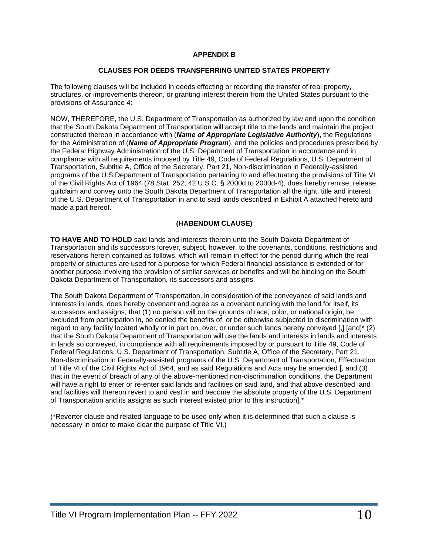#### **APPENDIX B**

#### **CLAUSES FOR DEEDS TRANSFERRING UNITED STATES PROPERTY**

The following clauses will be included in deeds effecting or recording the transfer of real property, structures, or improvements thereon, or granting interest therein from the United States pursuant to the provisions of Assurance 4:

NOW, THEREFORE, the U.S. Department of Transportation as authorized by law and upon the condition that the South Dakota Department of Transportation will accept title to the lands and maintain the project constructed thereon in accordance with (*Name of Appropriate Legislative Authority*), the Regulations for the Administration of (*Name of Appropriate Program*), and the policies and procedures prescribed by the Federal Highway Administration of the U.S. Department of Transportation in accordance and in compliance with all requirements imposed by Title 49, Code of Federal Regulations, U.S. Department of Transportation, Subtitle A, Office of the Secretary, Part 21, Non-discrimination in Federally-assisted programs of the U.S Department of Transportation pertaining to and effectuating the provisions of Title VI of the Civil Rights Act of 1964 (78 Stat. 252; 42 U.S.C. § 2000d to 2000d-4), does hereby remise, release, quitclaim and convey unto the South Dakota Department of Transportation all the right, title and interest of the U.S. Department of Transportation in and to said lands described in Exhibit A attached hereto and made a part hereof.

#### **(HABENDUM CLAUSE)**

**TO HAVE AND TO HOLD** said lands and interests therein unto the South Dakota Department of Transportation and its successors forever, subject, however, to the covenants, conditions, restrictions and reservations herein contained as follows, which will remain in effect for the period during which the real property or structures are used for a purpose for which Federal financial assistance is extended or for another purpose involving the provision of similar services or benefits and will be binding on the South Dakota Department of Transportation, its successors and assigns.

The South Dakota Department of Transportation, in consideration of the conveyance of said lands and interests in lands, does hereby covenant and agree as a covenant running with the land for itself, its successors and assigns, that (1) no person will on the grounds of race, color, or national origin, be excluded from participation in, be denied the benefits of, or be otherwise subjected to discrimination with regard to any facility located wholly or in part on, over, or under such lands hereby conveyed [,] [and]\* (2) that the South Dakota Department of Transportation will use the lands and interests in lands and interests in lands so conveyed, in compliance with all requirements imposed by or pursuant to Title 49, Code of Federal Regulations, U.S. Department of Transportation, Subtitle A, Office of the Secretary, Part 21, Non-discrimination in Federally-assisted programs of the U.S. Department of Transportation, Effectuation of Title VI of the Civil Rights Act of 1964, and as said Regulations and Acts may be amended [, and (3) that in the event of breach of any of the above-mentioned non-discrimination conditions, the Department will have a right to enter or re-enter said lands and facilities on said land, and that above described land and facilities will thereon revert to and vest in and become the absolute property of the U.S. Department of Transportation and its assigns as such interest existed prior to this instruction].\*

(\*Reverter clause and related language to be used only when it is determined that such a clause is necessary in order to make clear the purpose of Title VI.)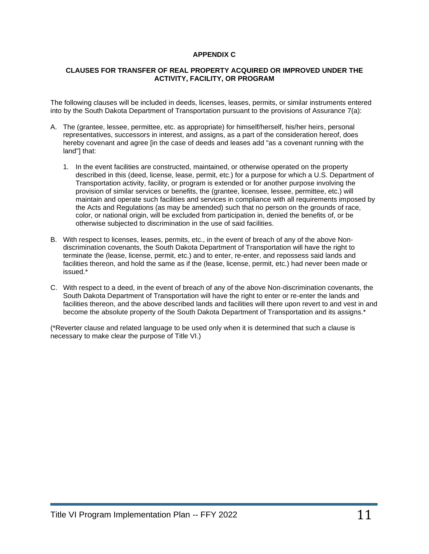#### **APPENDIX C**

#### **CLAUSES FOR TRANSFER OF REAL PROPERTY ACQUIRED OR IMPROVED UNDER THE ACTIVITY, FACILITY, OR PROGRAM**

The following clauses will be included in deeds, licenses, leases, permits, or similar instruments entered into by the South Dakota Department of Transportation pursuant to the provisions of Assurance 7(a):

- A. The (grantee, lessee, permittee, etc. as appropriate) for himself/herself, his/her heirs, personal representatives, successors in interest, and assigns, as a part of the consideration hereof, does hereby covenant and agree [in the case of deeds and leases add "as a covenant running with the land"] that:
	- 1. In the event facilities are constructed, maintained, or otherwise operated on the property described in this (deed, license, lease, permit, etc.) for a purpose for which a U.S. Department of Transportation activity, facility, or program is extended or for another purpose involving the provision of similar services or benefits, the (grantee, licensee, lessee, permittee, etc.) will maintain and operate such facilities and services in compliance with all requirements imposed by the Acts and Regulations (as may be amended) such that no person on the grounds of race, color, or national origin, will be excluded from participation in, denied the benefits of, or be otherwise subjected to discrimination in the use of said facilities.
- B. With respect to licenses, leases, permits, etc., in the event of breach of any of the above Nondiscrimination covenants, the South Dakota Department of Transportation will have the right to terminate the (lease, license, permit, etc.) and to enter, re-enter, and repossess said lands and facilities thereon, and hold the same as if the (lease, license, permit, etc.) had never been made or issued.\*
- C. With respect to a deed, in the event of breach of any of the above Non-discrimination covenants, the South Dakota Department of Transportation will have the right to enter or re-enter the lands and facilities thereon, and the above described lands and facilities will there upon revert to and vest in and become the absolute property of the South Dakota Department of Transportation and its assigns.\*

(\*Reverter clause and related language to be used only when it is determined that such a clause is necessary to make clear the purpose of Title VI.)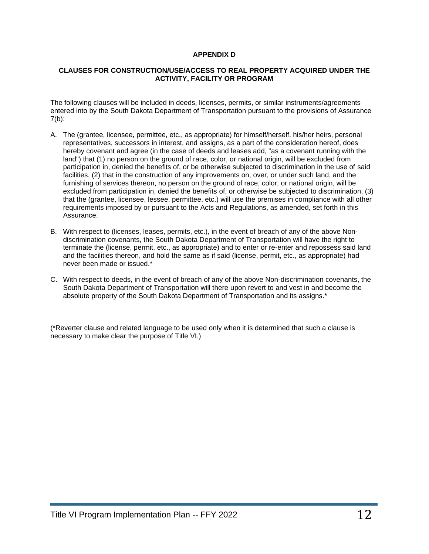#### **APPENDIX D**

#### **CLAUSES FOR CONSTRUCTION/USE/ACCESS TO REAL PROPERTY ACQUIRED UNDER THE ACTIVITY, FACILITY OR PROGRAM**

The following clauses will be included in deeds, licenses, permits, or similar instruments/agreements entered into by the South Dakota Department of Transportation pursuant to the provisions of Assurance  $7(b)$ :

- A. The (grantee, licensee, permittee, etc., as appropriate) for himself/herself, his/her heirs, personal representatives, successors in interest, and assigns, as a part of the consideration hereof, does hereby covenant and agree (in the case of deeds and leases add, "as a covenant running with the land") that (1) no person on the ground of race, color, or national origin, will be excluded from participation in, denied the benefits of, or be otherwise subjected to discrimination in the use of said facilities, (2) that in the construction of any improvements on, over, or under such land, and the furnishing of services thereon, no person on the ground of race, color, or national origin, will be excluded from participation in, denied the benefits of, or otherwise be subjected to discrimination, (3) that the (grantee, licensee, lessee, permittee, etc.) will use the premises in compliance with all other requirements imposed by or pursuant to the Acts and Regulations, as amended, set forth in this Assurance.
- B. With respect to (licenses, leases, permits, etc.), in the event of breach of any of the above Nondiscrimination covenants, the South Dakota Department of Transportation will have the right to terminate the (license, permit, etc., as appropriate) and to enter or re-enter and repossess said land and the facilities thereon, and hold the same as if said (license, permit, etc., as appropriate) had never been made or issued.\*
- C. With respect to deeds, in the event of breach of any of the above Non-discrimination covenants, the South Dakota Department of Transportation will there upon revert to and vest in and become the absolute property of the South Dakota Department of Transportation and its assigns.\*

(\*Reverter clause and related language to be used only when it is determined that such a clause is necessary to make clear the purpose of Title VI.)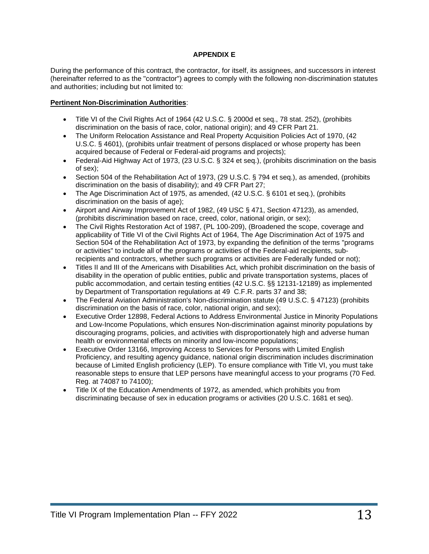#### **APPENDIX E**

During the performance of this contract, the contractor, for itself, its assignees, and successors in interest (hereinafter referred to as the "contractor") agrees to comply with the following non-discrimination statutes and authorities; including but not limited to:

#### **Pertinent Non-Discrimination Authorities**:

- Title VI of the Civil Rights Act of 1964 (42 U.S.C. § 2000d et seq., 78 stat. 252), (prohibits discrimination on the basis of race, color, national origin); and 49 CFR Part 21.
- The Uniform Relocation Assistance and Real Property Acquisition Policies Act of 1970, (42 U.S.C. § 4601), (prohibits unfair treatment of persons displaced or whose property has been acquired because of Federal or Federal-aid programs and projects);
- Federal-Aid Highway Act of 1973, (23 U.S.C. § 324 et seq.), (prohibits discrimination on the basis of sex);
- Section 504 of the Rehabilitation Act of 1973, (29 U.S.C. § 794 et seq.), as amended, (prohibits discrimination on the basis of disability); and 49 CFR Part 27;
- The Age Discrimination Act of 1975, as amended, (42 U.S.C. § 6101 et seq.), (prohibits discrimination on the basis of age);
- Airport and Airway Improvement Act of 1982, (49 USC § 471, Section 47123), as amended, (prohibits discrimination based on race, creed, color, national origin, or sex);
- The Civil Rights Restoration Act of 1987, (PL 100-209), (Broadened the scope, coverage and applicability of Title VI of the Civil Rights Act of 1964, The Age Discrimination Act of 1975 and Section 504 of the Rehabilitation Act of 1973, by expanding the definition of the terms "programs or activities" to include all of the programs or activities of the Federal-aid recipients, subrecipients and contractors, whether such programs or activities are Federally funded or not);
- Titles II and III of the Americans with Disabilities Act, which prohibit discrimination on the basis of disability in the operation of public entities, public and private transportation systems, places of public accommodation, and certain testing entities (42 U.S.C. §§ 12131-12189) as implemented by Department of Transportation regulations at 49 C.F.R. parts 37 and 38;
- The Federal Aviation Administration's Non-discrimination statute (49 U.S.C. § 47123) (prohibits discrimination on the basis of race, color, national origin, and sex);
- Executive Order 12898, Federal Actions to Address Environmental Justice in Minority Populations and Low-Income Populations, which ensures Non-discrimination against minority populations by discouraging programs, policies, and activities with disproportionately high and adverse human health or environmental effects on minority and low-income populations;
- Executive Order 13166, Improving Access to Services for Persons with Limited English Proficiency, and resulting agency guidance, national origin discrimination includes discrimination because of Limited English proficiency (LEP). To ensure compliance with Title VI, you must take reasonable steps to ensure that LEP persons have meaningful access to your programs (70 Fed. Reg. at 74087 to 74100);
- Title IX of the Education Amendments of 1972, as amended, which prohibits you from discriminating because of sex in education programs or activities (20 U.S.C. 1681 et seq).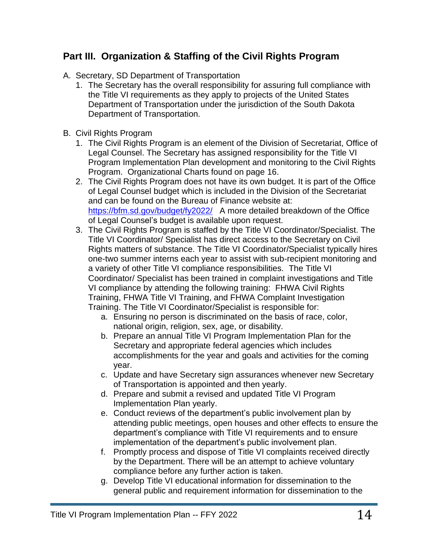## **Part III. Organization & Staffing of the Civil Rights Program**

- A. Secretary, SD Department of Transportation
	- 1. The Secretary has the overall responsibility for assuring full compliance with the Title VI requirements as they apply to projects of the United States Department of Transportation under the jurisdiction of the South Dakota Department of Transportation.
- B. Civil Rights Program
	- 1. The Civil Rights Program is an element of the Division of Secretariat, Office of Legal Counsel. The Secretary has assigned responsibility for the Title VI Program Implementation Plan development and monitoring to the Civil Rights Program. Organizational Charts found on page 16.
	- 2. The Civil Rights Program does not have its own budget. It is part of the Office of Legal Counsel budget which is included in the Division of the Secretariat and can be found on the Bureau of Finance website at: <https://bfm.sd.gov/budget/fy2022/>A more detailed breakdown of the Office of Legal Counsel's budget is available upon request.
	- 3. The Civil Rights Program is staffed by the Title VI Coordinator/Specialist. The Title VI Coordinator/ Specialist has direct access to the Secretary on Civil Rights matters of substance. The Title VI Coordinator/Specialist typically hires one-two summer interns each year to assist with sub-recipient monitoring and a variety of other Title VI compliance responsibilities. The Title VI Coordinator/ Specialist has been trained in complaint investigations and Title VI compliance by attending the following training: FHWA Civil Rights Training, FHWA Title VI Training, and FHWA Complaint Investigation Training. The Title VI Coordinator/Specialist is responsible for:
		- a. Ensuring no person is discriminated on the basis of race, color, national origin, religion, sex, age, or disability.
		- b. Prepare an annual Title VI Program Implementation Plan for the Secretary and appropriate federal agencies which includes accomplishments for the year and goals and activities for the coming year.
		- c. Update and have Secretary sign assurances whenever new Secretary of Transportation is appointed and then yearly.
		- d. Prepare and submit a revised and updated Title VI Program Implementation Plan yearly.
		- e. Conduct reviews of the department's public involvement plan by attending public meetings, open houses and other effects to ensure the department's compliance with Title VI requirements and to ensure implementation of the department's public involvement plan.
		- f. Promptly process and dispose of Title VI complaints received directly by the Department. There will be an attempt to achieve voluntary compliance before any further action is taken.
		- g. Develop Title VI educational information for dissemination to the general public and requirement information for dissemination to the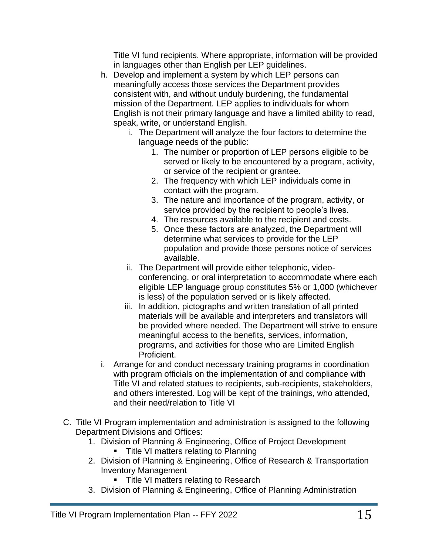Title VI fund recipients. Where appropriate, information will be provided in languages other than English per LEP guidelines.

- h. Develop and implement a system by which LEP persons can meaningfully access those services the Department provides consistent with, and without unduly burdening, the fundamental mission of the Department. LEP applies to individuals for whom English is not their primary language and have a limited ability to read, speak, write, or understand English.
	- i. The Department will analyze the four factors to determine the language needs of the public:
		- 1. The number or proportion of LEP persons eligible to be served or likely to be encountered by a program, activity, or service of the recipient or grantee.
		- 2. The frequency with which LEP individuals come in contact with the program.
		- 3. The nature and importance of the program, activity, or service provided by the recipient to people's lives.
		- 4. The resources available to the recipient and costs.
		- 5. Once these factors are analyzed, the Department will determine what services to provide for the LEP population and provide those persons notice of services available.
	- ii. The Department will provide either telephonic, videoconferencing, or oral interpretation to accommodate where each eligible LEP language group constitutes 5% or 1,000 (whichever is less) of the population served or is likely affected.
	- iii. In addition, pictographs and written translation of all printed materials will be available and interpreters and translators will be provided where needed. The Department will strive to ensure meaningful access to the benefits, services, information, programs, and activities for those who are Limited English Proficient.
- i. Arrange for and conduct necessary training programs in coordination with program officials on the implementation of and compliance with Title VI and related statues to recipients, sub-recipients, stakeholders, and others interested. Log will be kept of the trainings, who attended, and their need/relation to Title VI
- C. Title VI Program implementation and administration is assigned to the following Department Divisions and Offices:
	- 1. Division of Planning & Engineering, Office of Project Development
		- **•** Title VI matters relating to Planning
	- 2. Division of Planning & Engineering, Office of Research & Transportation Inventory Management
		- **Title VI matters relating to Research**
	- 3. Division of Planning & Engineering, Office of Planning Administration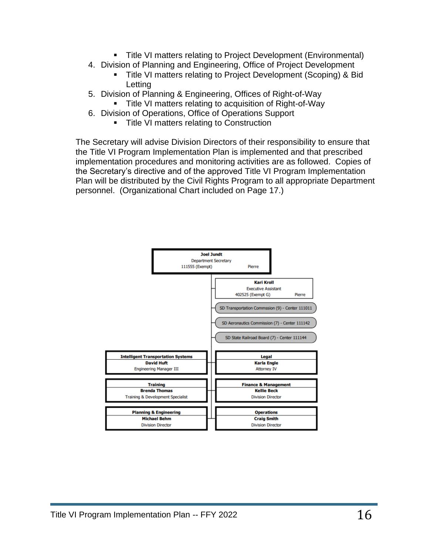- Title VI matters relating to Project Development (Environmental)
- 4. Division of Planning and Engineering, Office of Project Development
	- Title VI matters relating to Project Development (Scoping) & Bid Letting
- 5. Division of Planning & Engineering, Offices of Right-of-Way **Title VI matters relating to acquisition of Right-of-Way**
- 6. Division of Operations, Office of Operations Support
	- **Title VI matters relating to Construction**

The Secretary will advise Division Directors of their responsibility to ensure that the Title VI Program Implementation Plan is implemented and that prescribed implementation procedures and monitoring activities are as followed. Copies of the Secretary's directive and of the approved Title VI Program Implementation Plan will be distributed by the Civil Rights Program to all appropriate Department personnel. (Organizational Chart included on Page 17.)

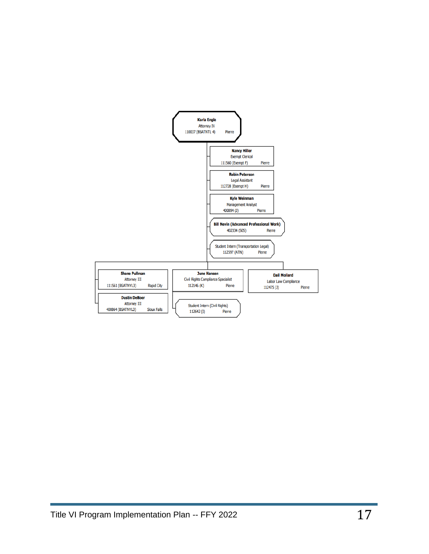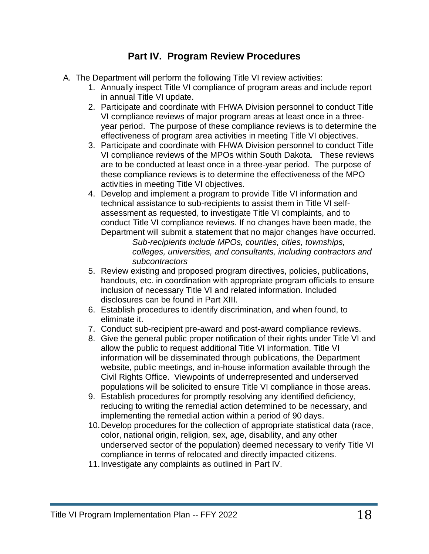## **Part IV. Program Review Procedures**

- A. The Department will perform the following Title VI review activities:
	- 1. Annually inspect Title VI compliance of program areas and include report in annual Title VI update.
	- 2. Participate and coordinate with FHWA Division personnel to conduct Title VI compliance reviews of major program areas at least once in a threeyear period. The purpose of these compliance reviews is to determine the effectiveness of program area activities in meeting Title VI objectives.
	- 3. Participate and coordinate with FHWA Division personnel to conduct Title VI compliance reviews of the MPOs within South Dakota. These reviews are to be conducted at least once in a three-year period. The purpose of these compliance reviews is to determine the effectiveness of the MPO activities in meeting Title VI objectives.
	- 4. Develop and implement a program to provide Title VI information and technical assistance to sub-recipients to assist them in Title VI selfassessment as requested, to investigate Title VI complaints, and to conduct Title VI compliance reviews. If no changes have been made, the Department will submit a statement that no major changes have occurred.

*Sub-recipients include MPOs, counties, cities, townships, colleges, universities, and consultants, including contractors and subcontractors*

- 5. Review existing and proposed program directives, policies, publications, handouts, etc. in coordination with appropriate program officials to ensure inclusion of necessary Title VI and related information. Included disclosures can be found in Part XIII.
- 6. Establish procedures to identify discrimination, and when found, to eliminate it.
- 7. Conduct sub-recipient pre-award and post-award compliance reviews.
- 8. Give the general public proper notification of their rights under Title VI and allow the public to request additional Title VI information. Title VI information will be disseminated through publications, the Department website, public meetings, and in-house information available through the Civil Rights Office. Viewpoints of underrepresented and underserved populations will be solicited to ensure Title VI compliance in those areas.
- 9. Establish procedures for promptly resolving any identified deficiency, reducing to writing the remedial action determined to be necessary, and implementing the remedial action within a period of 90 days.
- 10.Develop procedures for the collection of appropriate statistical data (race, color, national origin, religion, sex, age, disability, and any other underserved sector of the population) deemed necessary to verify Title VI compliance in terms of relocated and directly impacted citizens.
- 11.Investigate any complaints as outlined in Part IV.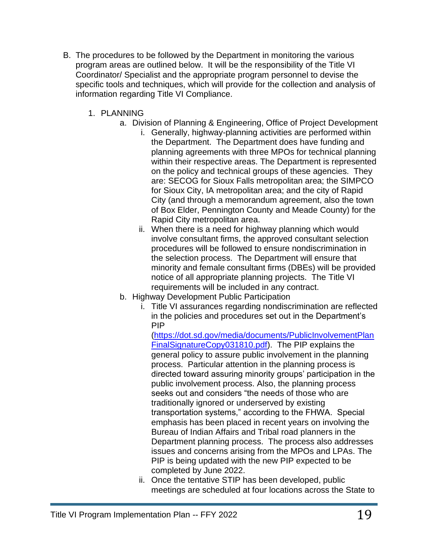- B. The procedures to be followed by the Department in monitoring the various program areas are outlined below. It will be the responsibility of the Title VI Coordinator/ Specialist and the appropriate program personnel to devise the specific tools and techniques, which will provide for the collection and analysis of information regarding Title VI Compliance.
	- 1. PLANNING
		- a. Division of Planning & Engineering, Office of Project Development
			- i. Generally, highway-planning activities are performed within the Department. The Department does have funding and planning agreements with three MPOs for technical planning within their respective areas. The Department is represented on the policy and technical groups of these agencies. They are: SECOG for Sioux Falls metropolitan area; the SIMPCO for Sioux City, IA metropolitan area; and the city of Rapid City (and through a memorandum agreement, also the town of Box Elder, Pennington County and Meade County) for the Rapid City metropolitan area.
			- ii. When there is a need for highway planning which would involve consultant firms, the approved consultant selection procedures will be followed to ensure nondiscrimination in the selection process. The Department will ensure that minority and female consultant firms (DBEs) will be provided notice of all appropriate planning projects. The Title VI requirements will be included in any contract.
			- b. Highway Development Public Participation
				- i. Title VI assurances regarding nondiscrimination are reflected in the policies and procedures set out in the Department's PIP

[\(https://dot.sd.gov/media/documents/PublicInvolvementPlan](https://dot.sd.gov/media/documents/PublicInvolvementPlanFinalSignatureCopy031810.pdf) [FinalSignatureCopy031810.pdf\)](https://dot.sd.gov/media/documents/PublicInvolvementPlanFinalSignatureCopy031810.pdf). The PIP explains the general policy to assure public involvement in the planning process. Particular attention in the planning process is directed toward assuring minority groups' participation in the public involvement process. Also, the planning process seeks out and considers "the needs of those who are traditionally ignored or underserved by existing transportation systems," according to the FHWA. Special emphasis has been placed in recent years on involving the Bureau of Indian Affairs and Tribal road planners in the Department planning process. The process also addresses issues and concerns arising from the MPOs and LPAs. The PIP is being updated with the new PIP expected to be completed by June 2022.

ii. Once the tentative STIP has been developed, public meetings are scheduled at four locations across the State to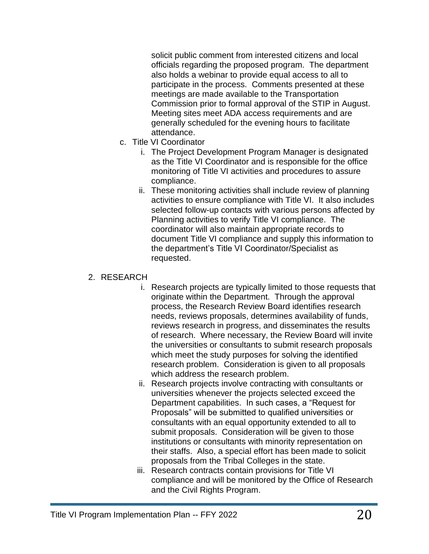solicit public comment from interested citizens and local officials regarding the proposed program. The department also holds a webinar to provide equal access to all to participate in the process. Comments presented at these meetings are made available to the Transportation Commission prior to formal approval of the STIP in August. Meeting sites meet ADA access requirements and are generally scheduled for the evening hours to facilitate attendance.

- c. Title VI Coordinator
	- i. The Project Development Program Manager is designated as the Title VI Coordinator and is responsible for the office monitoring of Title VI activities and procedures to assure compliance.
	- ii. These monitoring activities shall include review of planning activities to ensure compliance with Title VI. It also includes selected follow-up contacts with various persons affected by Planning activities to verify Title VI compliance. The coordinator will also maintain appropriate records to document Title VI compliance and supply this information to the department's Title VI Coordinator/Specialist as requested.

#### 2. RESEARCH

- i. Research projects are typically limited to those requests that originate within the Department. Through the approval process, the Research Review Board identifies research needs, reviews proposals, determines availability of funds, reviews research in progress, and disseminates the results of research. Where necessary, the Review Board will invite the universities or consultants to submit research proposals which meet the study purposes for solving the identified research problem. Consideration is given to all proposals which address the research problem.
- ii. Research projects involve contracting with consultants or universities whenever the projects selected exceed the Department capabilities. In such cases, a "Request for Proposals" will be submitted to qualified universities or consultants with an equal opportunity extended to all to submit proposals. Consideration will be given to those institutions or consultants with minority representation on their staffs. Also, a special effort has been made to solicit proposals from the Tribal Colleges in the state.
- iii. Research contracts contain provisions for Title VI compliance and will be monitored by the Office of Research and the Civil Rights Program.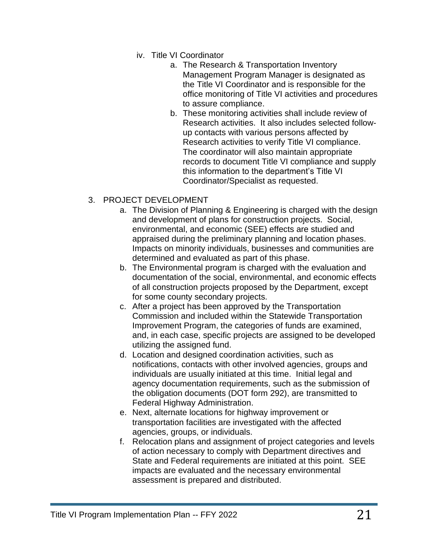- iv. Title VI Coordinator
	- a. The Research & Transportation Inventory Management Program Manager is designated as the Title VI Coordinator and is responsible for the office monitoring of Title VI activities and procedures to assure compliance.
	- b. These monitoring activities shall include review of Research activities. It also includes selected followup contacts with various persons affected by Research activities to verify Title VI compliance. The coordinator will also maintain appropriate records to document Title VI compliance and supply this information to the department's Title VI Coordinator/Specialist as requested.

#### 3. PROJECT DEVELOPMENT

- a. The Division of Planning & Engineering is charged with the design and development of plans for construction projects. Social, environmental, and economic (SEE) effects are studied and appraised during the preliminary planning and location phases. Impacts on minority individuals, businesses and communities are determined and evaluated as part of this phase.
- b. The Environmental program is charged with the evaluation and documentation of the social, environmental, and economic effects of all construction projects proposed by the Department, except for some county secondary projects.
- c. After a project has been approved by the Transportation Commission and included within the Statewide Transportation Improvement Program, the categories of funds are examined, and, in each case, specific projects are assigned to be developed utilizing the assigned fund.
- d. Location and designed coordination activities, such as notifications, contacts with other involved agencies, groups and individuals are usually initiated at this time. Initial legal and agency documentation requirements, such as the submission of the obligation documents (DOT form 292), are transmitted to Federal Highway Administration.
- e. Next, alternate locations for highway improvement or transportation facilities are investigated with the affected agencies, groups, or individuals.
- f. Relocation plans and assignment of project categories and levels of action necessary to comply with Department directives and State and Federal requirements are initiated at this point. SEE impacts are evaluated and the necessary environmental assessment is prepared and distributed.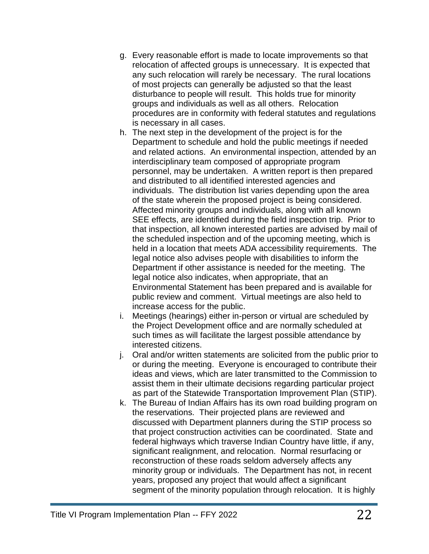- g. Every reasonable effort is made to locate improvements so that relocation of affected groups is unnecessary. It is expected that any such relocation will rarely be necessary. The rural locations of most projects can generally be adjusted so that the least disturbance to people will result. This holds true for minority groups and individuals as well as all others. Relocation procedures are in conformity with federal statutes and regulations is necessary in all cases.
- h. The next step in the development of the project is for the Department to schedule and hold the public meetings if needed and related actions. An environmental inspection, attended by an interdisciplinary team composed of appropriate program personnel, may be undertaken. A written report is then prepared and distributed to all identified interested agencies and individuals. The distribution list varies depending upon the area of the state wherein the proposed project is being considered. Affected minority groups and individuals, along with all known SEE effects, are identified during the field inspection trip. Prior to that inspection, all known interested parties are advised by mail of the scheduled inspection and of the upcoming meeting, which is held in a location that meets ADA accessibility requirements. The legal notice also advises people with disabilities to inform the Department if other assistance is needed for the meeting. The legal notice also indicates, when appropriate, that an Environmental Statement has been prepared and is available for public review and comment. Virtual meetings are also held to increase access for the public.
- i. Meetings (hearings) either in-person or virtual are scheduled by the Project Development office and are normally scheduled at such times as will facilitate the largest possible attendance by interested citizens.
- j. Oral and/or written statements are solicited from the public prior to or during the meeting. Everyone is encouraged to contribute their ideas and views, which are later transmitted to the Commission to assist them in their ultimate decisions regarding particular project as part of the Statewide Transportation Improvement Plan (STIP).
- k. The Bureau of Indian Affairs has its own road building program on the reservations. Their projected plans are reviewed and discussed with Department planners during the STIP process so that project construction activities can be coordinated. State and federal highways which traverse Indian Country have little, if any, significant realignment, and relocation. Normal resurfacing or reconstruction of these roads seldom adversely affects any minority group or individuals. The Department has not, in recent years, proposed any project that would affect a significant segment of the minority population through relocation. It is highly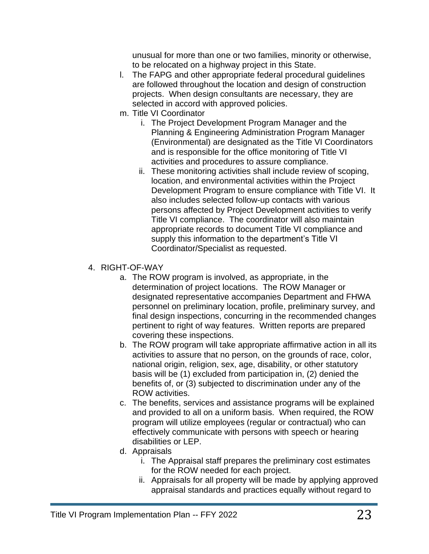unusual for more than one or two families, minority or otherwise, to be relocated on a highway project in this State.

- l. The FAPG and other appropriate federal procedural guidelines are followed throughout the location and design of construction projects. When design consultants are necessary, they are selected in accord with approved policies.
- m. Title VI Coordinator
	- i. The Project Development Program Manager and the Planning & Engineering Administration Program Manager (Environmental) are designated as the Title VI Coordinators and is responsible for the office monitoring of Title VI activities and procedures to assure compliance.
	- ii. These monitoring activities shall include review of scoping, location, and environmental activities within the Project Development Program to ensure compliance with Title VI. It also includes selected follow-up contacts with various persons affected by Project Development activities to verify Title VI compliance. The coordinator will also maintain appropriate records to document Title VI compliance and supply this information to the department's Title VI Coordinator/Specialist as requested.
- 4. RIGHT-OF-WAY
	- a. The ROW program is involved, as appropriate, in the determination of project locations. The ROW Manager or designated representative accompanies Department and FHWA personnel on preliminary location, profile, preliminary survey, and final design inspections, concurring in the recommended changes pertinent to right of way features. Written reports are prepared covering these inspections.
	- b. The ROW program will take appropriate affirmative action in all its activities to assure that no person, on the grounds of race, color, national origin, religion, sex, age, disability, or other statutory basis will be (1) excluded from participation in, (2) denied the benefits of, or (3) subjected to discrimination under any of the ROW activities.
	- c. The benefits, services and assistance programs will be explained and provided to all on a uniform basis. When required, the ROW program will utilize employees (regular or contractual) who can effectively communicate with persons with speech or hearing disabilities or LEP.
	- d. Appraisals
		- i. The Appraisal staff prepares the preliminary cost estimates for the ROW needed for each project.
		- ii. Appraisals for all property will be made by applying approved appraisal standards and practices equally without regard to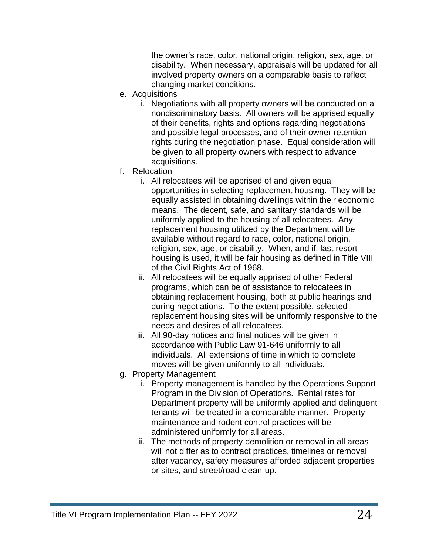the owner's race, color, national origin, religion, sex, age, or disability. When necessary, appraisals will be updated for all involved property owners on a comparable basis to reflect changing market conditions.

- e. Acquisitions
	- i. Negotiations with all property owners will be conducted on a nondiscriminatory basis. All owners will be apprised equally of their benefits, rights and options regarding negotiations and possible legal processes, and of their owner retention rights during the negotiation phase. Equal consideration will be given to all property owners with respect to advance acquisitions.
- f. Relocation
	- i. All relocatees will be apprised of and given equal opportunities in selecting replacement housing. They will be equally assisted in obtaining dwellings within their economic means. The decent, safe, and sanitary standards will be uniformly applied to the housing of all relocatees. Any replacement housing utilized by the Department will be available without regard to race, color, national origin, religion, sex, age, or disability. When, and if, last resort housing is used, it will be fair housing as defined in Title VIII of the Civil Rights Act of 1968.
	- ii. All relocatees will be equally apprised of other Federal programs, which can be of assistance to relocatees in obtaining replacement housing, both at public hearings and during negotiations. To the extent possible, selected replacement housing sites will be uniformly responsive to the needs and desires of all relocatees.
	- iii. All 90-day notices and final notices will be given in accordance with Public Law 91-646 uniformly to all individuals. All extensions of time in which to complete moves will be given uniformly to all individuals.
- g. Property Management
	- i. Property management is handled by the Operations Support Program in the Division of Operations. Rental rates for Department property will be uniformly applied and delinquent tenants will be treated in a comparable manner. Property maintenance and rodent control practices will be administered uniformly for all areas.
	- ii. The methods of property demolition or removal in all areas will not differ as to contract practices, timelines or removal after vacancy, safety measures afforded adjacent properties or sites, and street/road clean-up.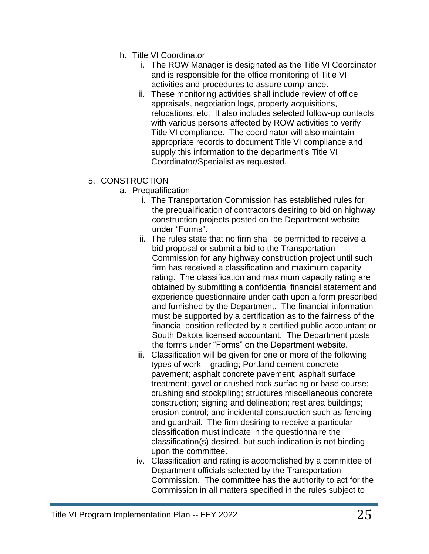- h. Title VI Coordinator
	- i. The ROW Manager is designated as the Title VI Coordinator and is responsible for the office monitoring of Title VI activities and procedures to assure compliance.
	- ii. These monitoring activities shall include review of office appraisals, negotiation logs, property acquisitions, relocations, etc. It also includes selected follow-up contacts with various persons affected by ROW activities to verify Title VI compliance. The coordinator will also maintain appropriate records to document Title VI compliance and supply this information to the department's Title VI Coordinator/Specialist as requested.
- 5. CONSTRUCTION
	- a. Prequalification
		- i. The Transportation Commission has established rules for the prequalification of contractors desiring to bid on highway construction projects posted on the Department website under "Forms".
		- ii. The rules state that no firm shall be permitted to receive a bid proposal or submit a bid to the Transportation Commission for any highway construction project until such firm has received a classification and maximum capacity rating. The classification and maximum capacity rating are obtained by submitting a confidential financial statement and experience questionnaire under oath upon a form prescribed and furnished by the Department. The financial information must be supported by a certification as to the fairness of the financial position reflected by a certified public accountant or South Dakota licensed accountant. The Department posts the forms under "Forms" on the Department website.
		- iii. Classification will be given for one or more of the following types of work – grading; Portland cement concrete pavement; asphalt concrete pavement; asphalt surface treatment; gavel or crushed rock surfacing or base course; crushing and stockpiling; structures miscellaneous concrete construction; signing and delineation; rest area buildings; erosion control; and incidental construction such as fencing and guardrail. The firm desiring to receive a particular classification must indicate in the questionnaire the classification(s) desired, but such indication is not binding upon the committee.
		- iv. Classification and rating is accomplished by a committee of Department officials selected by the Transportation Commission. The committee has the authority to act for the Commission in all matters specified in the rules subject to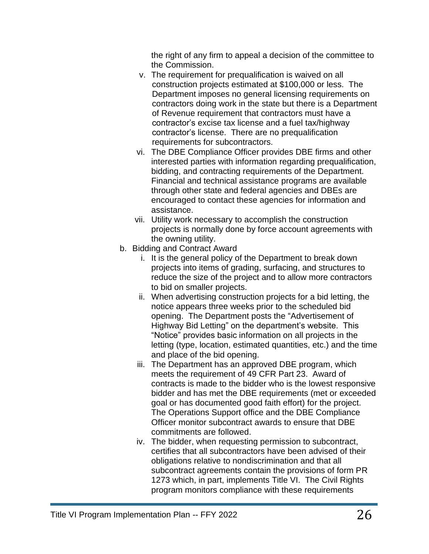the right of any firm to appeal a decision of the committee to the Commission.

- v. The requirement for prequalification is waived on all construction projects estimated at \$100,000 or less. The Department imposes no general licensing requirements on contractors doing work in the state but there is a Department of Revenue requirement that contractors must have a contractor's excise tax license and a fuel tax/highway contractor's license. There are no prequalification requirements for subcontractors.
- vi. The DBE Compliance Officer provides DBE firms and other interested parties with information regarding prequalification, bidding, and contracting requirements of the Department. Financial and technical assistance programs are available through other state and federal agencies and DBEs are encouraged to contact these agencies for information and assistance.
- vii. Utility work necessary to accomplish the construction projects is normally done by force account agreements with the owning utility.
- b. Bidding and Contract Award
	- i. It is the general policy of the Department to break down projects into items of grading, surfacing, and structures to reduce the size of the project and to allow more contractors to bid on smaller projects.
	- ii. When advertising construction projects for a bid letting, the notice appears three weeks prior to the scheduled bid opening. The Department posts the "Advertisement of Highway Bid Letting" on the department's website. This "Notice" provides basic information on all projects in the letting (type, location, estimated quantities, etc.) and the time and place of the bid opening.
	- iii. The Department has an approved DBE program, which meets the requirement of 49 CFR Part 23. Award of contracts is made to the bidder who is the lowest responsive bidder and has met the DBE requirements (met or exceeded goal or has documented good faith effort) for the project. The Operations Support office and the DBE Compliance Officer monitor subcontract awards to ensure that DBE commitments are followed.
	- iv. The bidder, when requesting permission to subcontract, certifies that all subcontractors have been advised of their obligations relative to nondiscrimination and that all subcontract agreements contain the provisions of form PR 1273 which, in part, implements Title VI. The Civil Rights program monitors compliance with these requirements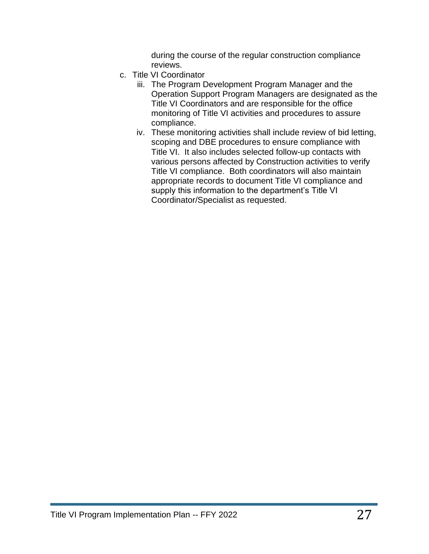during the course of the regular construction compliance reviews.

- c. Title VI Coordinator
	- iii. The Program Development Program Manager and the Operation Support Program Managers are designated as the Title VI Coordinators and are responsible for the office monitoring of Title VI activities and procedures to assure compliance.
	- iv. These monitoring activities shall include review of bid letting, scoping and DBE procedures to ensure compliance with Title VI. It also includes selected follow-up contacts with various persons affected by Construction activities to verify Title VI compliance. Both coordinators will also maintain appropriate records to document Title VI compliance and supply this information to the department's Title VI Coordinator/Specialist as requested.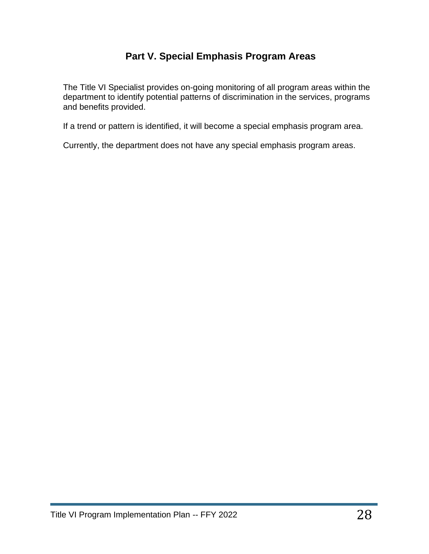## **Part V. Special Emphasis Program Areas**

The Title VI Specialist provides on-going monitoring of all program areas within the department to identify potential patterns of discrimination in the services, programs and benefits provided.

If a trend or pattern is identified, it will become a special emphasis program area.

Currently, the department does not have any special emphasis program areas.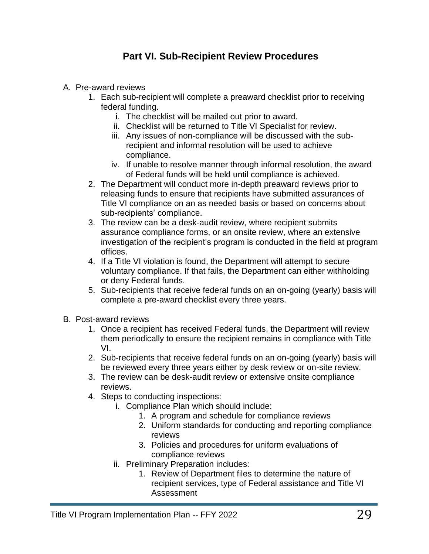## **Part VI. Sub-Recipient Review Procedures**

- A. Pre-award reviews
	- 1. Each sub-recipient will complete a preaward checklist prior to receiving federal funding.
		- i. The checklist will be mailed out prior to award.
		- ii. Checklist will be returned to Title VI Specialist for review.
		- iii. Any issues of non-compliance will be discussed with the subrecipient and informal resolution will be used to achieve compliance.
		- iv. If unable to resolve manner through informal resolution, the award of Federal funds will be held until compliance is achieved.
	- 2. The Department will conduct more in-depth preaward reviews prior to releasing funds to ensure that recipients have submitted assurances of Title VI compliance on an as needed basis or based on concerns about sub-recipients' compliance.
	- 3. The review can be a desk-audit review, where recipient submits assurance compliance forms, or an onsite review, where an extensive investigation of the recipient's program is conducted in the field at program offices.
	- 4. If a Title VI violation is found, the Department will attempt to secure voluntary compliance. If that fails, the Department can either withholding or deny Federal funds.
	- 5. Sub-recipients that receive federal funds on an on-going (yearly) basis will complete a pre-award checklist every three years.
- B. Post-award reviews
	- 1. Once a recipient has received Federal funds, the Department will review them periodically to ensure the recipient remains in compliance with Title VI.
	- 2. Sub-recipients that receive federal funds on an on-going (yearly) basis will be reviewed every three years either by desk review or on-site review.
	- 3. The review can be desk-audit review or extensive onsite compliance reviews.
	- 4. Steps to conducting inspections:
		- i. Compliance Plan which should include:
			- 1. A program and schedule for compliance reviews
			- 2. Uniform standards for conducting and reporting compliance reviews
			- 3. Policies and procedures for uniform evaluations of compliance reviews
		- ii. Preliminary Preparation includes:
			- 1. Review of Department files to determine the nature of recipient services, type of Federal assistance and Title VI Assessment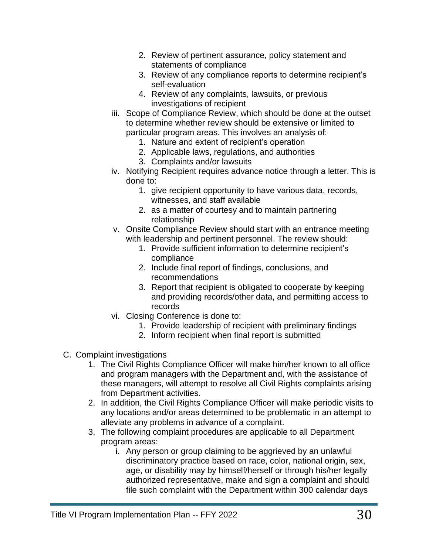- 2. Review of pertinent assurance, policy statement and statements of compliance
- 3. Review of any compliance reports to determine recipient's self-evaluation
- 4. Review of any complaints, lawsuits, or previous investigations of recipient
- iii. Scope of Compliance Review, which should be done at the outset to determine whether review should be extensive or limited to particular program areas. This involves an analysis of:
	- 1. Nature and extent of recipient's operation
	- 2. Applicable laws, regulations, and authorities
	- 3. Complaints and/or lawsuits
- iv. Notifying Recipient requires advance notice through a letter. This is done to:
	- 1. give recipient opportunity to have various data, records, witnesses, and staff available
	- 2. as a matter of courtesy and to maintain partnering relationship
- v. Onsite Compliance Review should start with an entrance meeting with leadership and pertinent personnel. The review should:
	- 1. Provide sufficient information to determine recipient's compliance
	- 2. Include final report of findings, conclusions, and recommendations
	- 3. Report that recipient is obligated to cooperate by keeping and providing records/other data, and permitting access to records
- vi. Closing Conference is done to:
	- 1. Provide leadership of recipient with preliminary findings
	- 2. Inform recipient when final report is submitted
- C. Complaint investigations
	- 1. The Civil Rights Compliance Officer will make him/her known to all office and program managers with the Department and, with the assistance of these managers, will attempt to resolve all Civil Rights complaints arising from Department activities.
	- 2. In addition, the Civil Rights Compliance Officer will make periodic visits to any locations and/or areas determined to be problematic in an attempt to alleviate any problems in advance of a complaint.
	- 3. The following complaint procedures are applicable to all Department program areas:
		- i. Any person or group claiming to be aggrieved by an unlawful discriminatory practice based on race, color, national origin, sex, age, or disability may by himself/herself or through his/her legally authorized representative, make and sign a complaint and should file such complaint with the Department within 300 calendar days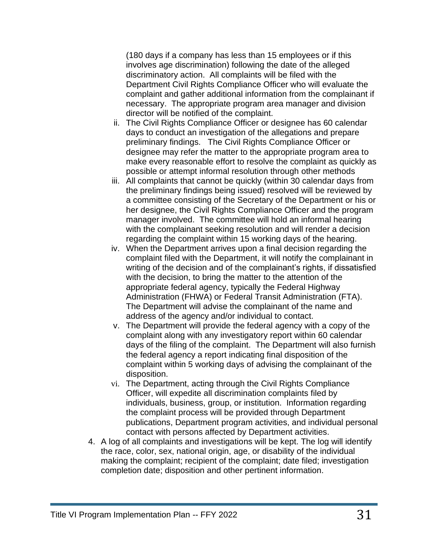(180 days if a company has less than 15 employees or if this involves age discrimination) following the date of the alleged discriminatory action. All complaints will be filed with the Department Civil Rights Compliance Officer who will evaluate the complaint and gather additional information from the complainant if necessary. The appropriate program area manager and division director will be notified of the complaint.

- ii. The Civil Rights Compliance Officer or designee has 60 calendar days to conduct an investigation of the allegations and prepare preliminary findings. The Civil Rights Compliance Officer or designee may refer the matter to the appropriate program area to make every reasonable effort to resolve the complaint as quickly as possible or attempt informal resolution through other methods
- iii. All complaints that cannot be quickly (within 30 calendar days from the preliminary findings being issued) resolved will be reviewed by a committee consisting of the Secretary of the Department or his or her designee, the Civil Rights Compliance Officer and the program manager involved. The committee will hold an informal hearing with the complainant seeking resolution and will render a decision regarding the complaint within 15 working days of the hearing.
- iv. When the Department arrives upon a final decision regarding the complaint filed with the Department, it will notify the complainant in writing of the decision and of the complainant's rights, if dissatisfied with the decision, to bring the matter to the attention of the appropriate federal agency, typically the Federal Highway Administration (FHWA) or Federal Transit Administration (FTA). The Department will advise the complainant of the name and address of the agency and/or individual to contact.
- v. The Department will provide the federal agency with a copy of the complaint along with any investigatory report within 60 calendar days of the filing of the complaint. The Department will also furnish the federal agency a report indicating final disposition of the complaint within 5 working days of advising the complainant of the disposition.
- vi. The Department, acting through the Civil Rights Compliance Officer, will expedite all discrimination complaints filed by individuals, business, group, or institution. Information regarding the complaint process will be provided through Department publications, Department program activities, and individual personal contact with persons affected by Department activities.
- 4. A log of all complaints and investigations will be kept. The log will identify the race, color, sex, national origin, age, or disability of the individual making the complaint; recipient of the complaint; date filed; investigation completion date; disposition and other pertinent information.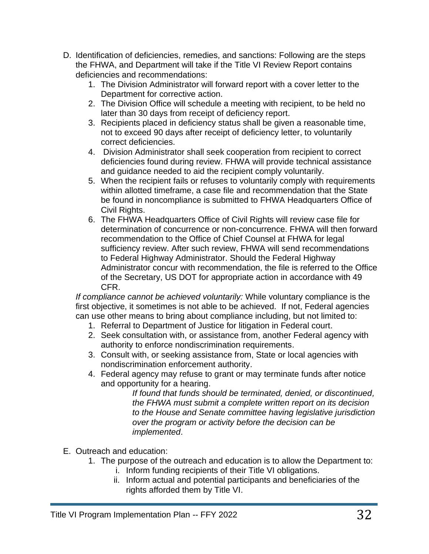- D. Identification of deficiencies, remedies, and sanctions: Following are the steps the FHWA, and Department will take if the Title VI Review Report contains deficiencies and recommendations:
	- 1. The Division Administrator will forward report with a cover letter to the Department for corrective action.
	- 2. The Division Office will schedule a meeting with recipient, to be held no later than 30 days from receipt of deficiency report.
	- 3. Recipients placed in deficiency status shall be given a reasonable time, not to exceed 90 days after receipt of deficiency letter, to voluntarily correct deficiencies.
	- 4. Division Administrator shall seek cooperation from recipient to correct deficiencies found during review. FHWA will provide technical assistance and guidance needed to aid the recipient comply voluntarily.
	- 5. When the recipient fails or refuses to voluntarily comply with requirements within allotted timeframe, a case file and recommendation that the State be found in noncompliance is submitted to FHWA Headquarters Office of Civil Rights.
	- 6. The FHWA Headquarters Office of Civil Rights will review case file for determination of concurrence or non-concurrence. FHWA will then forward recommendation to the Office of Chief Counsel at FHWA for legal sufficiency review. After such review, FHWA will send recommendations to Federal Highway Administrator. Should the Federal Highway Administrator concur with recommendation, the file is referred to the Office of the Secretary, US DOT for appropriate action in accordance with 49 CFR.

*If compliance cannot be achieved voluntarily:* While voluntary compliance is the first objective, it sometimes is not able to be achieved. If not, Federal agencies can use other means to bring about compliance including, but not limited to:

- 1. Referral to Department of Justice for litigation in Federal court.
- 2. Seek consultation with, or assistance from, another Federal agency with authority to enforce nondiscrimination requirements.
- 3. Consult with, or seeking assistance from, State or local agencies with nondiscrimination enforcement authority.
- 4. Federal agency may refuse to grant or may terminate funds after notice and opportunity for a hearing.

*If found that funds should be terminated, denied, or discontinued, the FHWA must submit a complete written report on its decision to the House and Senate committee having legislative jurisdiction over the program or activity before the decision can be implemented*.

- E. Outreach and education:
	- 1. The purpose of the outreach and education is to allow the Department to:
		- i. Inform funding recipients of their Title VI obligations.
		- ii. Inform actual and potential participants and beneficiaries of the rights afforded them by Title VI.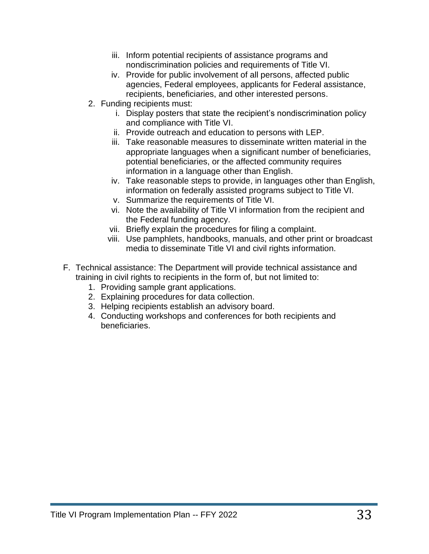- iii. Inform potential recipients of assistance programs and nondiscrimination policies and requirements of Title VI.
- iv. Provide for public involvement of all persons, affected public agencies, Federal employees, applicants for Federal assistance, recipients, beneficiaries, and other interested persons.
- 2. Funding recipients must:
	- i. Display posters that state the recipient's nondiscrimination policy and compliance with Title VI.
	- ii. Provide outreach and education to persons with LEP.
	- iii. Take reasonable measures to disseminate written material in the appropriate languages when a significant number of beneficiaries, potential beneficiaries, or the affected community requires information in a language other than English.
	- iv. Take reasonable steps to provide, in languages other than English, information on federally assisted programs subject to Title VI.
	- v. Summarize the requirements of Title VI.
	- vi. Note the availability of Title VI information from the recipient and the Federal funding agency.
	- vii. Briefly explain the procedures for filing a complaint.
	- viii. Use pamphlets, handbooks, manuals, and other print or broadcast media to disseminate Title VI and civil rights information.
- F. Technical assistance: The Department will provide technical assistance and training in civil rights to recipients in the form of, but not limited to:
	- 1. Providing sample grant applications.
	- 2. Explaining procedures for data collection.
	- 3. Helping recipients establish an advisory board.
	- 4. Conducting workshops and conferences for both recipients and beneficiaries.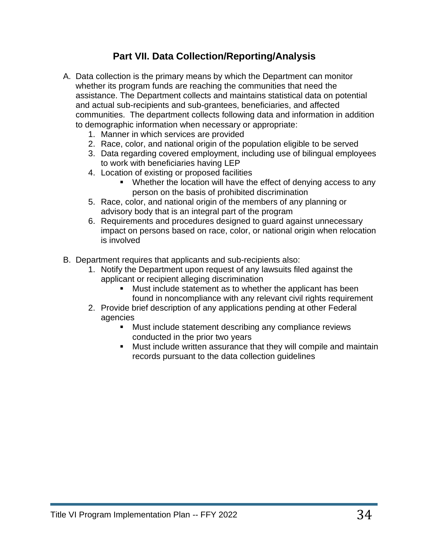## **Part VII. Data Collection/Reporting/Analysis**

- A. Data collection is the primary means by which the Department can monitor whether its program funds are reaching the communities that need the assistance. The Department collects and maintains statistical data on potential and actual sub-recipients and sub-grantees, beneficiaries, and affected communities. The department collects following data and information in addition to demographic information when necessary or appropriate:
	- 1. Manner in which services are provided
	- 2. Race, color, and national origin of the population eligible to be served
	- 3. Data regarding covered employment, including use of bilingual employees to work with beneficiaries having LEP
	- 4. Location of existing or proposed facilities
		- Whether the location will have the effect of denying access to any person on the basis of prohibited discrimination
	- 5. Race, color, and national origin of the members of any planning or advisory body that is an integral part of the program
	- 6. Requirements and procedures designed to guard against unnecessary impact on persons based on race, color, or national origin when relocation is involved
- B. Department requires that applicants and sub-recipients also:
	- 1. Notify the Department upon request of any lawsuits filed against the applicant or recipient alleging discrimination
		- Must include statement as to whether the applicant has been found in noncompliance with any relevant civil rights requirement
	- 2. Provide brief description of any applications pending at other Federal agencies
		- Must include statement describing any compliance reviews conducted in the prior two years
		- Must include written assurance that they will compile and maintain records pursuant to the data collection guidelines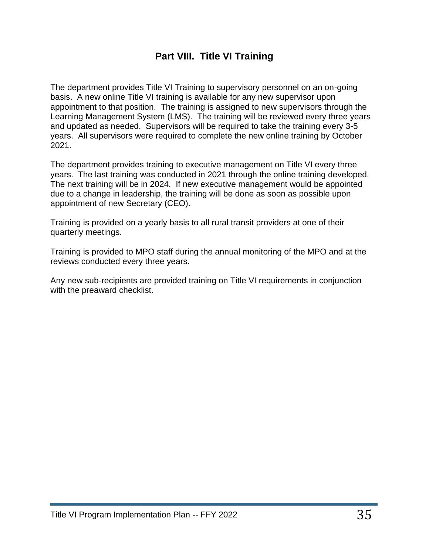## **Part VIII. Title VI Training**

The department provides Title VI Training to supervisory personnel on an on-going basis. A new online Title VI training is available for any new supervisor upon appointment to that position. The training is assigned to new supervisors through the Learning Management System (LMS). The training will be reviewed every three years and updated as needed. Supervisors will be required to take the training every 3-5 years. All supervisors were required to complete the new online training by October 2021.

The department provides training to executive management on Title VI every three years. The last training was conducted in 2021 through the online training developed. The next training will be in 2024. If new executive management would be appointed due to a change in leadership, the training will be done as soon as possible upon appointment of new Secretary (CEO).

Training is provided on a yearly basis to all rural transit providers at one of their quarterly meetings.

Training is provided to MPO staff during the annual monitoring of the MPO and at the reviews conducted every three years.

Any new sub-recipients are provided training on Title VI requirements in conjunction with the preaward checklist.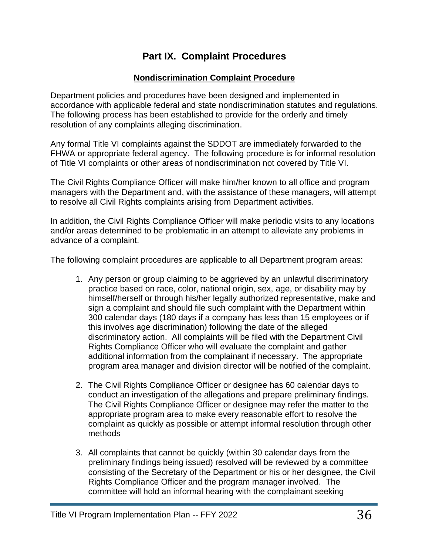## **Part IX. Complaint Procedures**

#### **Nondiscrimination Complaint Procedure**

Department policies and procedures have been designed and implemented in accordance with applicable federal and state nondiscrimination statutes and regulations. The following process has been established to provide for the orderly and timely resolution of any complaints alleging discrimination.

Any formal Title VI complaints against the SDDOT are immediately forwarded to the FHWA or appropriate federal agency. The following procedure is for informal resolution of Title VI complaints or other areas of nondiscrimination not covered by Title VI.

The Civil Rights Compliance Officer will make him/her known to all office and program managers with the Department and, with the assistance of these managers, will attempt to resolve all Civil Rights complaints arising from Department activities.

In addition, the Civil Rights Compliance Officer will make periodic visits to any locations and/or areas determined to be problematic in an attempt to alleviate any problems in advance of a complaint.

The following complaint procedures are applicable to all Department program areas:

- 1. Any person or group claiming to be aggrieved by an unlawful discriminatory practice based on race, color, national origin, sex, age, or disability may by himself/herself or through his/her legally authorized representative, make and sign a complaint and should file such complaint with the Department within 300 calendar days (180 days if a company has less than 15 employees or if this involves age discrimination) following the date of the alleged discriminatory action. All complaints will be filed with the Department Civil Rights Compliance Officer who will evaluate the complaint and gather additional information from the complainant if necessary. The appropriate program area manager and division director will be notified of the complaint.
- 2. The Civil Rights Compliance Officer or designee has 60 calendar days to conduct an investigation of the allegations and prepare preliminary findings. The Civil Rights Compliance Officer or designee may refer the matter to the appropriate program area to make every reasonable effort to resolve the complaint as quickly as possible or attempt informal resolution through other methods
- 3. All complaints that cannot be quickly (within 30 calendar days from the preliminary findings being issued) resolved will be reviewed by a committee consisting of the Secretary of the Department or his or her designee, the Civil Rights Compliance Officer and the program manager involved. The committee will hold an informal hearing with the complainant seeking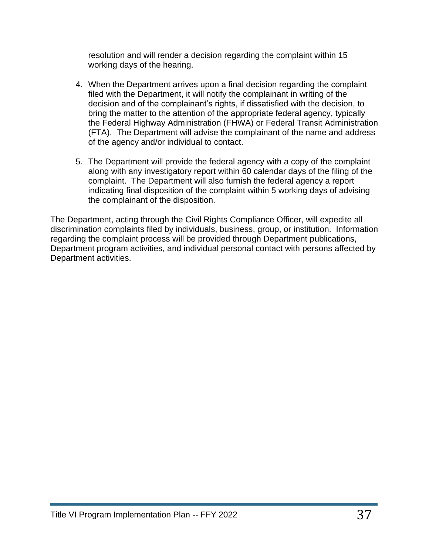resolution and will render a decision regarding the complaint within 15 working days of the hearing.

- 4. When the Department arrives upon a final decision regarding the complaint filed with the Department, it will notify the complainant in writing of the decision and of the complainant's rights, if dissatisfied with the decision, to bring the matter to the attention of the appropriate federal agency, typically the Federal Highway Administration (FHWA) or Federal Transit Administration (FTA). The Department will advise the complainant of the name and address of the agency and/or individual to contact.
- 5. The Department will provide the federal agency with a copy of the complaint along with any investigatory report within 60 calendar days of the filing of the complaint. The Department will also furnish the federal agency a report indicating final disposition of the complaint within 5 working days of advising the complainant of the disposition.

The Department, acting through the Civil Rights Compliance Officer, will expedite all discrimination complaints filed by individuals, business, group, or institution. Information regarding the complaint process will be provided through Department publications, Department program activities, and individual personal contact with persons affected by Department activities.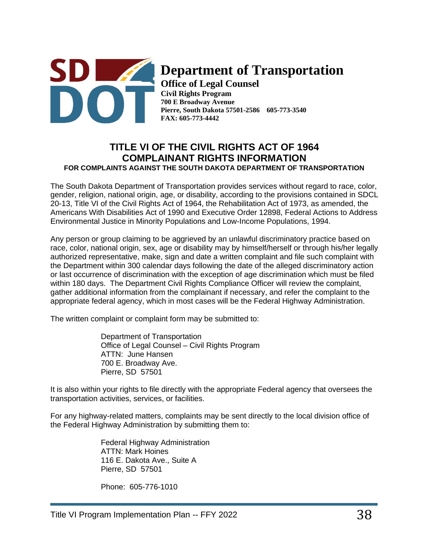

## **Department of Transportation**

**Office of Legal Counsel Civil Rights Program 700 E Broadway Avenue Pierre, South Dakota 57501-2586 605-773-3540 FAX: 605-773-4442**

#### **TITLE VI OF THE CIVIL RIGHTS ACT OF 1964 COMPLAINANT RIGHTS INFORMATION FOR COMPLAINTS AGAINST THE SOUTH DAKOTA DEPARTMENT OF TRANSPORTATION**

The South Dakota Department of Transportation provides services without regard to race, color, gender, religion, national origin, age, or disability, according to the provisions contained in SDCL 20-13, Title VI of the Civil Rights Act of 1964, the Rehabilitation Act of 1973, as amended, the Americans With Disabilities Act of 1990 and Executive Order 12898, Federal Actions to Address Environmental Justice in Minority Populations and Low-Income Populations, 1994.

Any person or group claiming to be aggrieved by an unlawful discriminatory practice based on race, color, national origin, sex, age or disability may by himself/herself or through his/her legally authorized representative, make, sign and date a written complaint and file such complaint with the Department within 300 calendar days following the date of the alleged discriminatory action or last occurrence of discrimination with the exception of age discrimination which must be filed within 180 days. The Department Civil Rights Compliance Officer will review the complaint, gather additional information from the complainant if necessary, and refer the complaint to the appropriate federal agency, which in most cases will be the Federal Highway Administration.

The written complaint or complaint form may be submitted to:

Department of Transportation Office of Legal Counsel – Civil Rights Program ATTN: June Hansen 700 E. Broadway Ave. Pierre, SD 57501

It is also within your rights to file directly with the appropriate Federal agency that oversees the transportation activities, services, or facilities.

For any highway-related matters, complaints may be sent directly to the local division office of the Federal Highway Administration by submitting them to:

> Federal Highway Administration ATTN: Mark Hoines 116 E. Dakota Ave., Suite A Pierre, SD 57501

Phone: 605-776-1010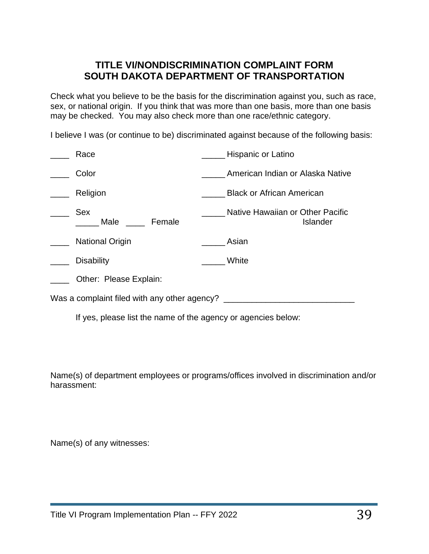## **TITLE VI/NONDISCRIMINATION COMPLAINT FORM SOUTH DAKOTA DEPARTMENT OF TRANSPORTATION**

Check what you believe to be the basis for the discrimination against you, such as race, sex, or national origin. If you think that was more than one basis, more than one basis may be checked. You may also check more than one race/ethnic category.

I believe I was (or continue to be) discriminated against because of the following basis:

|                                              | Race                                                          | Hispanic or Latino                                  |  |  |  |  |
|----------------------------------------------|---------------------------------------------------------------|-----------------------------------------------------|--|--|--|--|
|                                              | Color                                                         | American Indian or Alaska Native                    |  |  |  |  |
|                                              | Religion                                                      | <b>Black or African American</b>                    |  |  |  |  |
|                                              | Sex<br>Female<br>Male                                         | Native Hawaiian or Other Pacific<br><b>Islander</b> |  |  |  |  |
|                                              | <b>National Origin</b>                                        | Asian                                               |  |  |  |  |
|                                              | <b>Disability</b>                                             | White                                               |  |  |  |  |
|                                              | Other: Please Explain:                                        |                                                     |  |  |  |  |
| Was a complaint filed with any other agency? |                                                               |                                                     |  |  |  |  |
|                                              | If yes, please list the name of the agency or agencies below: |                                                     |  |  |  |  |

Name(s) of department employees or programs/offices involved in discrimination and/or harassment:

Name(s) of any witnesses: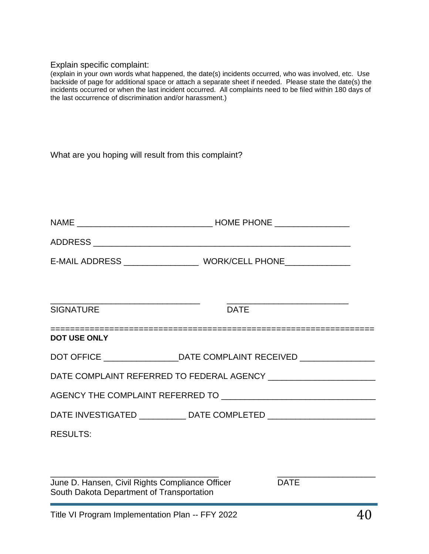#### Explain specific complaint:

(explain in your own words what happened, the date(s) incidents occurred, who was involved, etc. Use backside of page for additional space or attach a separate sheet if needed. Please state the date(s) the incidents occurred or when the last incident occurred. All complaints need to be filed within 180 days of the last occurrence of discrimination and/or harassment.)

| What are you hoping will result from this complaint? |  |  |
|------------------------------------------------------|--|--|
|------------------------------------------------------|--|--|

| <b>SIGNATURE</b>    | <b>DATE</b>                                                                      |
|---------------------|----------------------------------------------------------------------------------|
| <b>DOT USE ONLY</b> |                                                                                  |
|                     | DOT OFFICE _________________________DATE COMPLAINT RECEIVED ____________________ |
|                     |                                                                                  |
|                     |                                                                                  |
|                     | DATE INVESTIGATED ____________ DATE COMPLETED __________________________________ |
| <b>RESULTS:</b>     |                                                                                  |
|                     |                                                                                  |
|                     |                                                                                  |

\_\_\_\_\_\_\_\_\_\_\_\_\_\_\_\_\_\_\_\_\_\_\_\_\_\_\_\_\_\_\_\_\_\_\_\_ \_\_\_\_\_\_\_\_\_\_\_\_\_\_\_\_\_\_\_\_\_

June D. Hansen, Civil Rights Compliance Officer DATE South Dakota Department of Transportation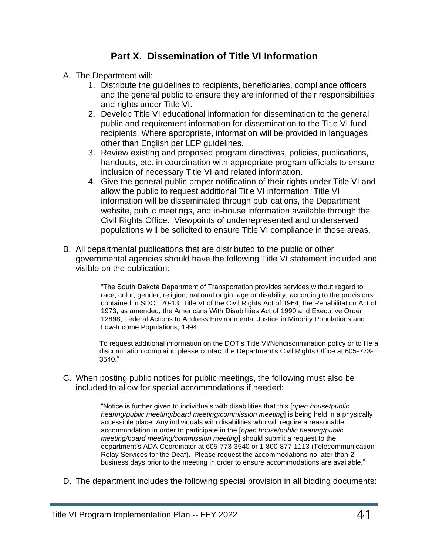## **Part X. Dissemination of Title VI Information**

- A. The Department will:
	- 1. Distribute the guidelines to recipients, beneficiaries, compliance officers and the general public to ensure they are informed of their responsibilities and rights under Title VI.
	- 2. Develop Title VI educational information for dissemination to the general public and requirement information for dissemination to the Title VI fund recipients. Where appropriate, information will be provided in languages other than English per LEP guidelines.
	- 3. Review existing and proposed program directives, policies, publications, handouts, etc. in coordination with appropriate program officials to ensure inclusion of necessary Title VI and related information.
	- 4. Give the general public proper notification of their rights under Title VI and allow the public to request additional Title VI information. Title VI information will be disseminated through publications, the Department website, public meetings, and in-house information available through the Civil Rights Office. Viewpoints of underrepresented and underserved populations will be solicited to ensure Title VI compliance in those areas.
- B. All departmental publications that are distributed to the public or other governmental agencies should have the following Title VI statement included and visible on the publication:

"The South Dakota Department of Transportation provides services without regard to race, color, gender, religion, national origin, age or disability, according to the provisions contained in SDCL 20-13, Title VI of the Civil Rights Act of 1964, the Rehabilitation Act of 1973, as amended, the Americans With Disabilities Act of 1990 and Executive Order 12898, Federal Actions to Address Environmental Justice in Minority Populations and Low-Income Populations, 1994.

To request additional information on the DOT's Title VI/Nondiscrimination policy or to file a discrimination complaint, please contact the Department's Civil Rights Office at 605-773- 3540."

C. When posting public notices for public meetings, the following must also be included to allow for special accommodations if needed:

> "Notice is further given to individuals with disabilities that this [*open house/public hearing/public meeting/board meeting/commission meeting*] is being held in a physically accessible place. Any individuals with disabilities who will require a reasonable accommodation in order to participate in the [*open house/public hearing/public meeting/board meeting/commission meeting*] should submit a request to the department's ADA Coordinator at 605-773-3540 or 1-800-877-1113 (Telecommunication Relay Services for the Deaf). Please request the accommodations no later than 2 business days prior to the meeting in order to ensure accommodations are available."

D. The department includes the following special provision in all bidding documents: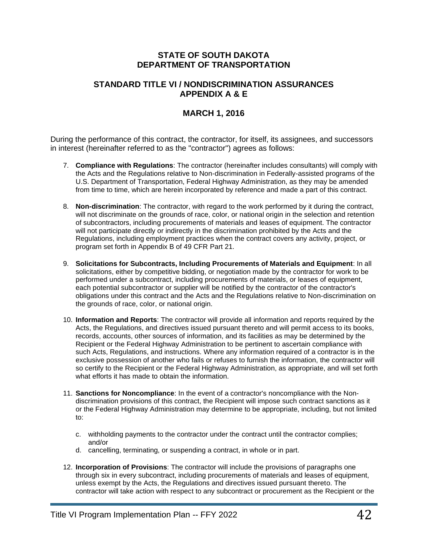#### **STATE OF SOUTH DAKOTA DEPARTMENT OF TRANSPORTATION**

#### **STANDARD TITLE VI / NONDISCRIMINATION ASSURANCES APPENDIX A & E**

#### **MARCH 1, 2016**

During the performance of this contract, the contractor, for itself, its assignees, and successors in interest (hereinafter referred to as the "contractor") agrees as follows:

- 7. **Compliance with Regulations**: The contractor (hereinafter includes consultants) will comply with the Acts and the Regulations relative to Non-discrimination in Federally-assisted programs of the U.S. Department of Transportation, Federal Highway Administration, as they may be amended from time to time, which are herein incorporated by reference and made a part of this contract.
- 8. **Non-discrimination**: The contractor, with regard to the work performed by it during the contract, will not discriminate on the grounds of race, color, or national origin in the selection and retention of subcontractors, including procurements of materials and leases of equipment. The contractor will not participate directly or indirectly in the discrimination prohibited by the Acts and the Regulations, including employment practices when the contract covers any activity, project, or program set forth in Appendix B of 49 CFR Part 21.
- 9. **Solicitations for Subcontracts, Including Procurements of Materials and Equipment**: In all solicitations, either by competitive bidding, or negotiation made by the contractor for work to be performed under a subcontract, including procurements of materials, or leases of equipment, each potential subcontractor or supplier will be notified by the contractor of the contractor's obligations under this contract and the Acts and the Regulations relative to Non-discrimination on the grounds of race, color, or national origin.
- 10. **Information and Reports**: The contractor will provide all information and reports required by the Acts, the Regulations, and directives issued pursuant thereto and will permit access to its books, records, accounts, other sources of information, and its facilities as may be determined by the Recipient or the Federal Highway Administration to be pertinent to ascertain compliance with such Acts, Regulations, and instructions. Where any information required of a contractor is in the exclusive possession of another who fails or refuses to furnish the information, the contractor will so certify to the Recipient or the Federal Highway Administration, as appropriate, and will set forth what efforts it has made to obtain the information.
- 11. **Sanctions for Noncompliance**: In the event of a contractor's noncompliance with the Nondiscrimination provisions of this contract, the Recipient will impose such contract sanctions as it or the Federal Highway Administration may determine to be appropriate, including, but not limited to:
	- c. withholding payments to the contractor under the contract until the contractor complies; and/or
	- d. cancelling, terminating, or suspending a contract, in whole or in part.
- 12. **Incorporation of Provisions**: The contractor will include the provisions of paragraphs one through six in every subcontract, including procurements of materials and leases of equipment, unless exempt by the Acts, the Regulations and directives issued pursuant thereto. The contractor will take action with respect to any subcontract or procurement as the Recipient or the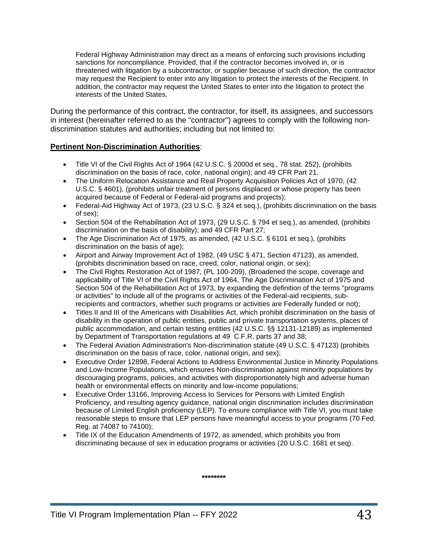Federal Highway Administration may direct as a means of enforcing such provisions including sanctions for noncompliance. Provided, that if the contractor becomes involved in, or is threatened with litigation by a subcontractor, or supplier because of such direction, the contractor may request the Recipient to enter into any litigation to protect the interests of the Recipient. In addition, the contractor may request the United States to enter into the litigation to protect the interests of the United States.

During the performance of this contract, the contractor, for itself, its assignees, and successors in interest (hereinafter referred to as the "contractor") agrees to comply with the following nondiscrimination statutes and authorities; including but not limited to:

#### **Pertinent Non-Discrimination Authorities**:

- Title VI of the Civil Rights Act of 1964 (42 U.S.C. § 2000d et seq., 78 stat. 252), (prohibits discrimination on the basis of race, color, national origin); and 49 CFR Part 21.
- The Uniform Relocation Assistance and Real Property Acquisition Policies Act of 1970, (42 U.S.C. § 4601), (prohibits unfair treatment of persons displaced or whose property has been acquired because of Federal or Federal-aid programs and projects);
- Federal-Aid Highway Act of 1973, (23 U.S.C. § 324 et seq.), (prohibits discrimination on the basis of sex);
- Section 504 of the Rehabilitation Act of 1973, (29 U.S.C. § 794 et seq.), as amended, (prohibits discrimination on the basis of disability); and 49 CFR Part 27;
- The Age Discrimination Act of 1975, as amended, (42 U.S.C. § 6101 et seq.), (prohibits discrimination on the basis of age);
- Airport and Airway Improvement Act of 1982, (49 USC § 471, Section 47123), as amended, (prohibits discrimination based on race, creed, color, national origin, or sex);
- The Civil Rights Restoration Act of 1987, (PL 100-209), (Broadened the scope, coverage and applicability of Title VI of the Civil Rights Act of 1964, The Age Discrimination Act of 1975 and Section 504 of the Rehabilitation Act of 1973, by expanding the definition of the terms "programs or activities" to include all of the programs or activities of the Federal-aid recipients, subrecipients and contractors, whether such programs or activities are Federally funded or not);
- Titles II and III of the Americans with Disabilities Act, which prohibit discrimination on the basis of disability in the operation of public entities, public and private transportation systems, places of public accommodation, and certain testing entities (42 U.S.C. §§ 12131-12189) as implemented by Department of Transportation regulations at 49 C.F.R. parts 37 and 38;
- The Federal Aviation Administration's Non-discrimination statute (49 U.S.C. § 47123) (prohibits discrimination on the basis of race, color, national origin, and sex);
- Executive Order 12898, Federal Actions to Address Environmental Justice in Minority Populations and Low-Income Populations, which ensures Non-discrimination against minority populations by discouraging programs, policies, and activities with disproportionately high and adverse human health or environmental effects on minority and low-income populations;
- Executive Order 13166, Improving Access to Services for Persons with Limited English Proficiency, and resulting agency guidance, national origin discrimination includes discrimination because of Limited English proficiency (LEP). To ensure compliance with Title VI, you must take reasonable steps to ensure that LEP persons have meaningful access to your programs (70 Fed. Reg. at 74087 to 74100);
- Title IX of the Education Amendments of 1972, as amended, which prohibits you from discriminating because of sex in education programs or activities (20 U.S.C. 1681 et seq).

**\*\*\*\*\*\*\*\***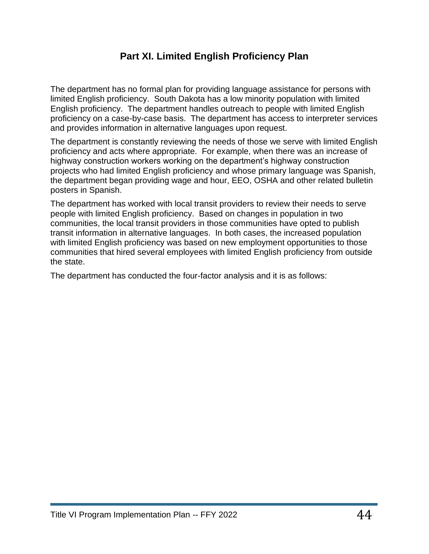## **Part XI. Limited English Proficiency Plan**

The department has no formal plan for providing language assistance for persons with limited English proficiency. South Dakota has a low minority population with limited English proficiency. The department handles outreach to people with limited English proficiency on a case-by-case basis. The department has access to interpreter services and provides information in alternative languages upon request.

The department is constantly reviewing the needs of those we serve with limited English proficiency and acts where appropriate. For example, when there was an increase of highway construction workers working on the department's highway construction projects who had limited English proficiency and whose primary language was Spanish, the department began providing wage and hour, EEO, OSHA and other related bulletin posters in Spanish.

The department has worked with local transit providers to review their needs to serve people with limited English proficiency. Based on changes in population in two communities, the local transit providers in those communities have opted to publish transit information in alternative languages. In both cases, the increased population with limited English proficiency was based on new employment opportunities to those communities that hired several employees with limited English proficiency from outside the state.

The department has conducted the four-factor analysis and it is as follows: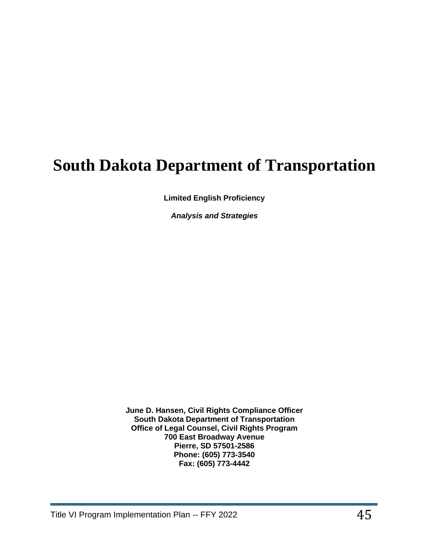# **South Dakota Department of Transportation**

**Limited English Proficiency** 

*Analysis and Strategies* 

**June D. Hansen, Civil Rights Compliance Officer South Dakota Department of Transportation Office of Legal Counsel, Civil Rights Program 700 East Broadway Avenue Pierre, SD 57501-2586 Phone: (605) 773-3540 Fax: (605) 773-4442**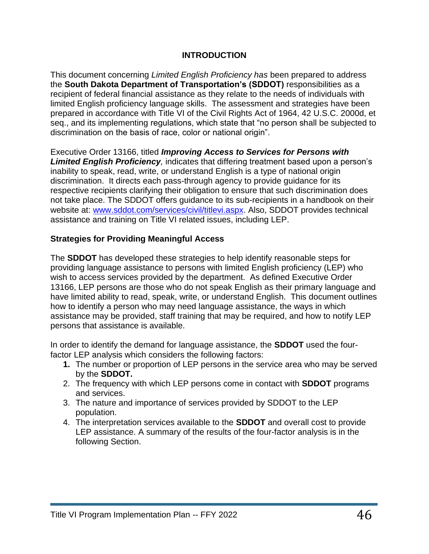#### **INTRODUCTION**

This document concerning *Limited English Proficiency has* been prepared to address the **South Dakota Department of Transportation's (SDDOT)** responsibilities as a recipient of federal financial assistance as they relate to the needs of individuals with limited English proficiency language skills. The assessment and strategies have been prepared in accordance with Title VI of the Civil Rights Act of 1964, 42 U.S.C. 2000d, et seq., and its implementing regulations, which state that "no person shall be subjected to discrimination on the basis of race, color or national origin".

Executive Order 13166, titled *Improving Access to Services for Persons with Limited English Proficiency,* indicates that differing treatment based upon a person's inability to speak, read, write, or understand English is a type of national origin discrimination. It directs each pass-through agency to provide guidance for its respective recipients clarifying their obligation to ensure that such discrimination does not take place. The SDDOT offers guidance to its sub-recipients in a handbook on their website at: [www.sddot.com/services/civil/titlevi.aspx.](http://www.sddot.com/services/civil/titlevi.aspx) Also, SDDOT provides technical assistance and training on Title VI related issues, including LEP.

#### **Strategies for Providing Meaningful Access**

The **SDDOT** has developed these strategies to help identify reasonable steps for providing language assistance to persons with limited English proficiency (LEP) who wish to access services provided by the department. As defined Executive Order 13166, LEP persons are those who do not speak English as their primary language and have limited ability to read, speak, write, or understand English. This document outlines how to identify a person who may need language assistance, the ways in which assistance may be provided, staff training that may be required, and how to notify LEP persons that assistance is available.

In order to identify the demand for language assistance, the **SDDOT** used the fourfactor LEP analysis which considers the following factors:

- **1.** The number or proportion of LEP persons in the service area who may be served by the **SDDOT.**
- 2. The frequency with which LEP persons come in contact with **SDDOT** programs and services.
- 3. The nature and importance of services provided by SDDOT to the LEP population.
- 4. The interpretation services available to the **SDDOT** and overall cost to provide LEP assistance. A summary of the results of the four-factor analysis is in the following Section.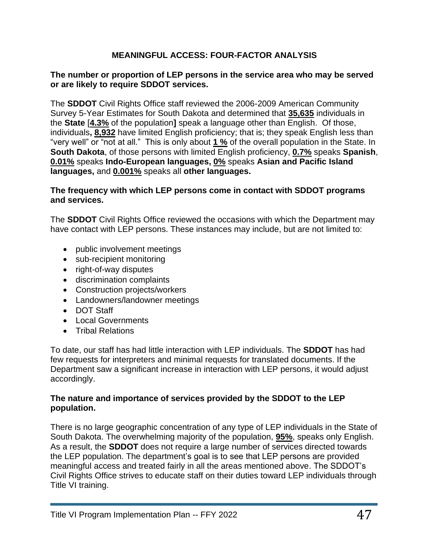#### **MEANINGFUL ACCESS: FOUR-FACTOR ANALYSIS**

#### **The number or proportion of LEP persons in the service area who may be served or are likely to require SDDOT services.**

The **SDDOT** Civil Rights Office staff reviewed the 2006-2009 American Community Survey 5-Year Estimates for South Dakota and determined that **35,635** individuals in the **State** [**4.3%** of the population**]** speak a language other than English. Of those, individuals**, 8,932** have limited English proficiency; that is; they speak English less than "very well" or "not at all." This is only about **1 %** of the overall population in the State. In **South Dakota**, of those persons with limited English proficiency, **0.7%** speaks **Spanish**, **0.01%** speaks **Indo-European languages, 0%** speaks **Asian and Pacific Island languages,** and **0.001%** speaks all **other languages.**

#### **The frequency with which LEP persons come in contact with SDDOT programs and services.**

The **SDDOT** Civil Rights Office reviewed the occasions with which the Department may have contact with LEP persons. These instances may include, but are not limited to:

- public involvement meetings
- sub-recipient monitoring
- right-of-way disputes
- discrimination complaints
- Construction projects/workers
- Landowners/landowner meetings
- DOT Staff
- Local Governments
- Tribal Relations

To date, our staff has had little interaction with LEP individuals. The **SDDOT** has had few requests for interpreters and minimal requests for translated documents. If the Department saw a significant increase in interaction with LEP persons, it would adjust accordingly.

#### **The nature and importance of services provided by the SDDOT to the LEP population.**

There is no large geographic concentration of any type of LEP individuals in the State of South Dakota. The overwhelming majority of the population, **95%**, speaks only English. As a result, the **SDDOT** does not require a large number of services directed towards the LEP population. The department's goal is to see that LEP persons are provided meaningful access and treated fairly in all the areas mentioned above. The SDDOT's Civil Rights Office strives to educate staff on their duties toward LEP individuals through Title VI training.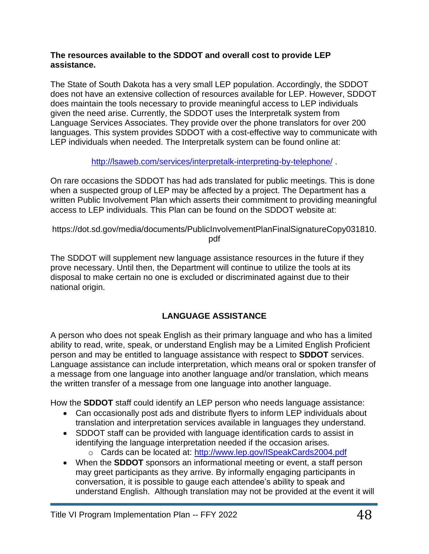#### **The resources available to the SDDOT and overall cost to provide LEP assistance.**

The State of South Dakota has a very small LEP population. Accordingly, the SDDOT does not have an extensive collection of resources available for LEP. However, SDDOT does maintain the tools necessary to provide meaningful access to LEP individuals given the need arise. Currently, the SDDOT uses the Interpretalk system from Language Services Associates. They provide over the phone translators for over 200 languages. This system provides SDDOT with a cost-effective way to communicate with LEP individuals when needed. The Interpretalk system can be found online at:

#### <http://lsaweb.com/services/interpretalk-interpreting-by-telephone/> .

On rare occasions the SDDOT has had ads translated for public meetings. This is done when a suspected group of LEP may be affected by a project. The Department has a written Public Involvement Plan which asserts their commitment to providing meaningful access to LEP individuals. This Plan can be found on the SDDOT website at:

https://dot.sd.gov/media/documents/PublicInvolvementPlanFinalSignatureCopy031810. pdf

The SDDOT will supplement new language assistance resources in the future if they prove necessary. Until then, the Department will continue to utilize the tools at its disposal to make certain no one is excluded or discriminated against due to their national origin.

## **LANGUAGE ASSISTANCE**

A person who does not speak English as their primary language and who has a limited ability to read, write, speak, or understand English may be a Limited English Proficient person and may be entitled to language assistance with respect to **SDDOT** services. Language assistance can include interpretation, which means oral or spoken transfer of a message from one language into another language and/or translation, which means the written transfer of a message from one language into another language.

How the **SDDOT** staff could identify an LEP person who needs language assistance:

- Can occasionally post ads and distribute flyers to inform LEP individuals about translation and interpretation services available in languages they understand.
- SDDOT staff can be provided with language identification cards to assist in identifying the language interpretation needed if the occasion arises.
	- o Cards can be located at:<http://www.lep.gov/ISpeakCards2004.pdf>
- When the **SDDOT** sponsors an informational meeting or event, a staff person may greet participants as they arrive. By informally engaging participants in conversation, it is possible to gauge each attendee's ability to speak and understand English. Although translation may not be provided at the event it will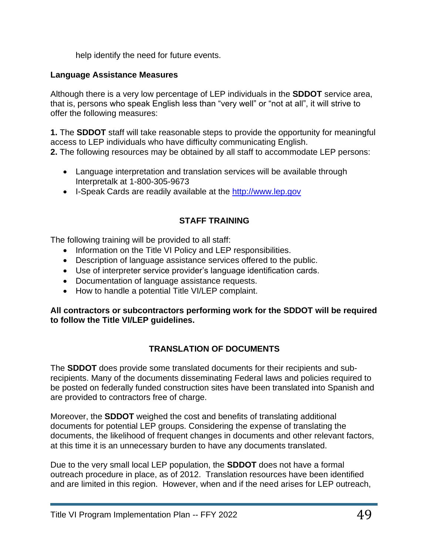help identify the need for future events.

#### **Language Assistance Measures**

Although there is a very low percentage of LEP individuals in the **SDDOT** service area, that is, persons who speak English less than "very well" or "not at all", it will strive to offer the following measures:

**1.** The **SDDOT** staff will take reasonable steps to provide the opportunity for meaningful access to LEP individuals who have difficulty communicating English. **2.** The following resources may be obtained by all staff to accommodate LEP persons:

- Language interpretation and translation services will be available through Interpretalk at 1-800-305-9673
- I-Speak Cards are readily available at the [http://www.lep.gov](http://www.lep.gov/)

#### **STAFF TRAINING**

The following training will be provided to all staff:

- Information on the Title VI Policy and LEP responsibilities.
- Description of language assistance services offered to the public.
- Use of interpreter service provider's language identification cards.
- Documentation of language assistance requests.
- How to handle a potential Title VI/LEP complaint.

**All contractors or subcontractors performing work for the SDDOT will be required to follow the Title VI/LEP guidelines.**

#### **TRANSLATION OF DOCUMENTS**

The **SDDOT** does provide some translated documents for their recipients and subrecipients. Many of the documents disseminating Federal laws and policies required to be posted on federally funded construction sites have been translated into Spanish and are provided to contractors free of charge.

Moreover, the **SDDOT** weighed the cost and benefits of translating additional documents for potential LEP groups. Considering the expense of translating the documents, the likelihood of frequent changes in documents and other relevant factors, at this time it is an unnecessary burden to have any documents translated.

Due to the very small local LEP population, the **SDDOT** does not have a formal outreach procedure in place, as of 2012. Translation resources have been identified and are limited in this region. However, when and if the need arises for LEP outreach,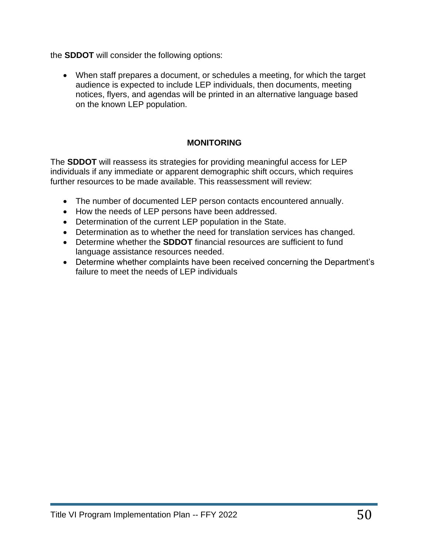the **SDDOT** will consider the following options:

• When staff prepares a document, or schedules a meeting, for which the target audience is expected to include LEP individuals, then documents, meeting notices, flyers, and agendas will be printed in an alternative language based on the known LEP population.

#### **MONITORING**

The **SDDOT** will reassess its strategies for providing meaningful access for LEP individuals if any immediate or apparent demographic shift occurs, which requires further resources to be made available. This reassessment will review:

- The number of documented LEP person contacts encountered annually.
- How the needs of LEP persons have been addressed.
- Determination of the current LEP population in the State.
- Determination as to whether the need for translation services has changed.
- Determine whether the **SDDOT** financial resources are sufficient to fund language assistance resources needed.
- Determine whether complaints have been received concerning the Department's failure to meet the needs of LEP individuals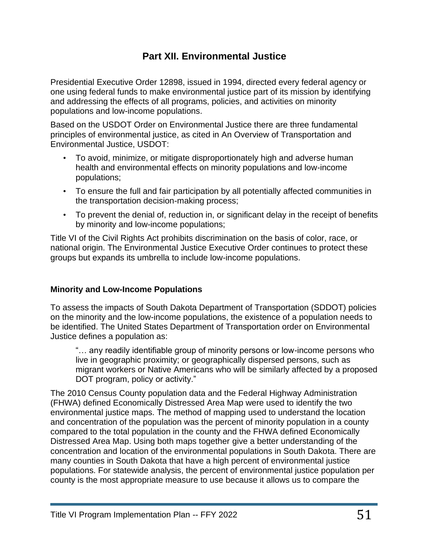## **Part XII. Environmental Justice**

Presidential Executive Order 12898, issued in 1994, directed every federal agency or one using federal funds to make environmental justice part of its mission by identifying and addressing the effects of all programs, policies, and activities on minority populations and low-income populations.

Based on the USDOT Order on Environmental Justice there are three fundamental principles of environmental justice, as cited in An Overview of Transportation and Environmental Justice, USDOT:

- To avoid, minimize, or mitigate disproportionately high and adverse human health and environmental effects on minority populations and low-income populations;
- To ensure the full and fair participation by all potentially affected communities in the transportation decision-making process;
- To prevent the denial of, reduction in, or significant delay in the receipt of benefits by minority and low-income populations;

Title VI of the Civil Rights Act prohibits discrimination on the basis of color, race, or national origin. The Environmental Justice Executive Order continues to protect these groups but expands its umbrella to include low-income populations.

#### **Minority and Low-Income Populations**

To assess the impacts of South Dakota Department of Transportation (SDDOT) policies on the minority and the low-income populations, the existence of a population needs to be identified. The United States Department of Transportation order on Environmental Justice defines a population as:

"… any readily identifiable group of minority persons or low-income persons who live in geographic proximity; or geographically dispersed persons, such as migrant workers or Native Americans who will be similarly affected by a proposed DOT program, policy or activity."

The 2010 Census County population data and the Federal Highway Administration (FHWA) defined Economically Distressed Area Map were used to identify the two environmental justice maps. The method of mapping used to understand the location and concentration of the population was the percent of minority population in a county compared to the total population in the county and the FHWA defined Economically Distressed Area Map. Using both maps together give a better understanding of the concentration and location of the environmental populations in South Dakota. There are many counties in South Dakota that have a high percent of environmental justice populations. For statewide analysis, the percent of environmental justice population per county is the most appropriate measure to use because it allows us to compare the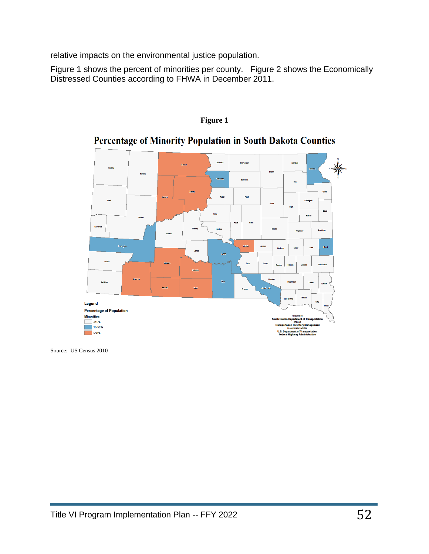relative impacts on the environmental justice population.

Figure 1 shows the percent of minorities per county. Figure 2 shows the Economically Distressed Counties according to FHWA in December 2011.



#### **Figure 1**

## Percentage of Minority Population in South Dakota Counties

Source: US Census 2010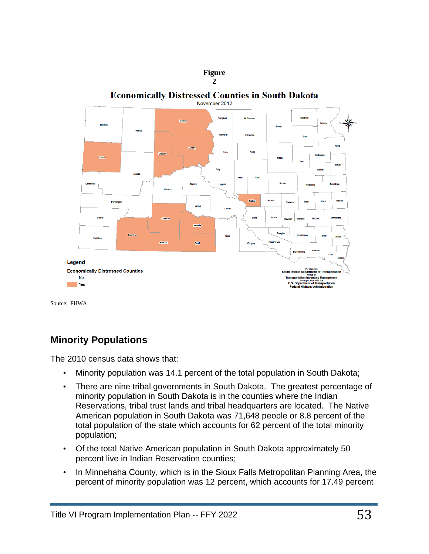

Source: FHWA

## **Minority Populations**

The 2010 census data shows that:

- Minority population was 14.1 percent of the total population in South Dakota;
- There are nine tribal governments in South Dakota. The greatest percentage of minority population in South Dakota is in the counties where the Indian Reservations, tribal trust lands and tribal headquarters are located. The Native American population in South Dakota was 71,648 people or 8.8 percent of the total population of the state which accounts for 62 percent of the total minority population;
- Of the total Native American population in South Dakota approximately 50 percent live in Indian Reservation counties;
- In Minnehaha County, which is in the Sioux Falls Metropolitan Planning Area, the percent of minority population was 12 percent, which accounts for 17.49 percent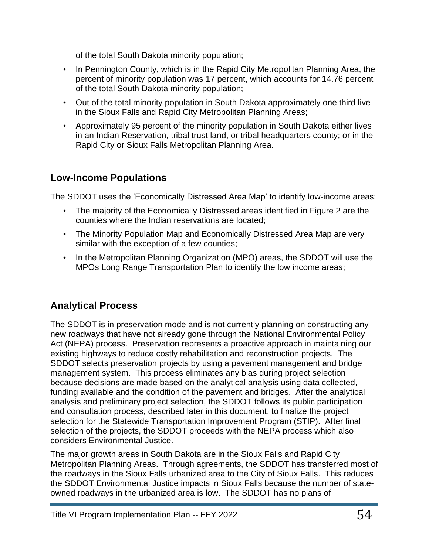of the total South Dakota minority population;

- In Pennington County, which is in the Rapid City Metropolitan Planning Area, the percent of minority population was 17 percent, which accounts for 14.76 percent of the total South Dakota minority population;
- Out of the total minority population in South Dakota approximately one third live in the Sioux Falls and Rapid City Metropolitan Planning Areas;
- Approximately 95 percent of the minority population in South Dakota either lives in an Indian Reservation, tribal trust land, or tribal headquarters county; or in the Rapid City or Sioux Falls Metropolitan Planning Area.

## **Low-Income Populations**

The SDDOT uses the 'Economically Distressed Area Map' to identify low-income areas:

- The majority of the Economically Distressed areas identified in Figure 2 are the counties where the Indian reservations are located;
- The Minority Population Map and Economically Distressed Area Map are very similar with the exception of a few counties;
- In the Metropolitan Planning Organization (MPO) areas, the SDDOT will use the MPOs Long Range Transportation Plan to identify the low income areas;

## **Analytical Process**

The SDDOT is in preservation mode and is not currently planning on constructing any new roadways that have not already gone through the National Environmental Policy Act (NEPA) process. Preservation represents a proactive approach in maintaining our existing highways to reduce costly rehabilitation and reconstruction projects. The SDDOT selects preservation projects by using a pavement management and bridge management system. This process eliminates any bias during project selection because decisions are made based on the analytical analysis using data collected, funding available and the condition of the pavement and bridges. After the analytical analysis and preliminary project selection, the SDDOT follows its public participation and consultation process, described later in this document, to finalize the project selection for the Statewide Transportation Improvement Program (STIP). After final selection of the projects, the SDDOT proceeds with the NEPA process which also considers Environmental Justice.

The major growth areas in South Dakota are in the Sioux Falls and Rapid City Metropolitan Planning Areas. Through agreements, the SDDOT has transferred most of the roadways in the Sioux Falls urbanized area to the City of Sioux Falls. This reduces the SDDOT Environmental Justice impacts in Sioux Falls because the number of stateowned roadways in the urbanized area is low. The SDDOT has no plans of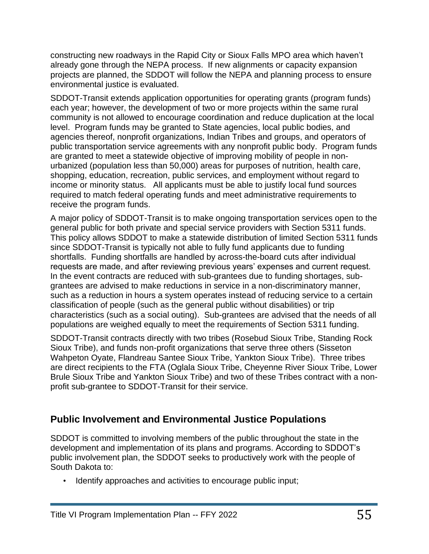constructing new roadways in the Rapid City or Sioux Falls MPO area which haven't already gone through the NEPA process. If new alignments or capacity expansion projects are planned, the SDDOT will follow the NEPA and planning process to ensure environmental justice is evaluated.

SDDOT-Transit extends application opportunities for operating grants (program funds) each year; however, the development of two or more projects within the same rural community is not allowed to encourage coordination and reduce duplication at the local level. Program funds may be granted to State agencies, local public bodies, and agencies thereof, nonprofit organizations, Indian Tribes and groups, and operators of public transportation service agreements with any nonprofit public body. Program funds are granted to meet a statewide objective of improving mobility of people in nonurbanized (population less than 50,000) areas for purposes of nutrition, health care, shopping, education, recreation, public services, and employment without regard to income or minority status. All applicants must be able to justify local fund sources required to match federal operating funds and meet administrative requirements to receive the program funds.

A major policy of SDDOT-Transit is to make ongoing transportation services open to the general public for both private and special service providers with Section 5311 funds. This policy allows SDDOT to make a statewide distribution of limited Section 5311 funds since SDDOT-Transit is typically not able to fully fund applicants due to funding shortfalls. Funding shortfalls are handled by across-the-board cuts after individual requests are made, and after reviewing previous years' expenses and current request. In the event contracts are reduced with sub-grantees due to funding shortages, subgrantees are advised to make reductions in service in a non-discriminatory manner, such as a reduction in hours a system operates instead of reducing service to a certain classification of people (such as the general public without disabilities) or trip characteristics (such as a social outing). Sub-grantees are advised that the needs of all populations are weighed equally to meet the requirements of Section 5311 funding.

SDDOT-Transit contracts directly with two tribes (Rosebud Sioux Tribe, Standing Rock Sioux Tribe), and funds non-profit organizations that serve three others (Sisseton Wahpeton Oyate, Flandreau Santee Sioux Tribe, Yankton Sioux Tribe). Three tribes are direct recipients to the FTA (Oglala Sioux Tribe, Cheyenne River Sioux Tribe, Lower Brule Sioux Tribe and Yankton Sioux Tribe) and two of these Tribes contract with a nonprofit sub-grantee to SDDOT-Transit for their service.

## **Public Involvement and Environmental Justice Populations**

SDDOT is committed to involving members of the public throughout the state in the development and implementation of its plans and programs. According to SDDOT's public involvement plan, the SDDOT seeks to productively work with the people of South Dakota to:

• Identify approaches and activities to encourage public input;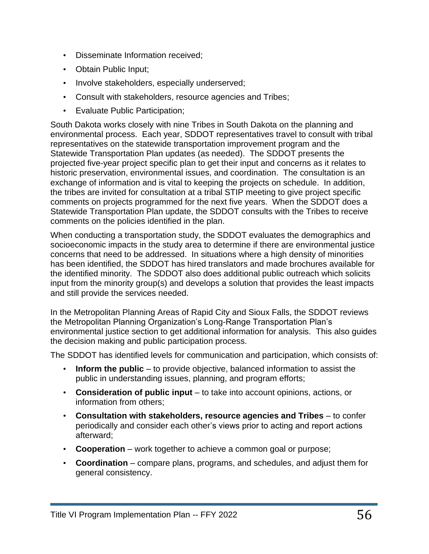- Disseminate Information received;
- Obtain Public Input;
- Involve stakeholders, especially underserved;
- Consult with stakeholders, resource agencies and Tribes;
- Evaluate Public Participation;

South Dakota works closely with nine Tribes in South Dakota on the planning and environmental process. Each year, SDDOT representatives travel to consult with tribal representatives on the statewide transportation improvement program and the Statewide Transportation Plan updates (as needed). The SDDOT presents the projected five-year project specific plan to get their input and concerns as it relates to historic preservation, environmental issues, and coordination. The consultation is an exchange of information and is vital to keeping the projects on schedule. In addition, the tribes are invited for consultation at a tribal STIP meeting to give project specific comments on projects programmed for the next five years. When the SDDOT does a Statewide Transportation Plan update, the SDDOT consults with the Tribes to receive comments on the policies identified in the plan.

When conducting a transportation study, the SDDOT evaluates the demographics and socioeconomic impacts in the study area to determine if there are environmental justice concerns that need to be addressed. In situations where a high density of minorities has been identified, the SDDOT has hired translators and made brochures available for the identified minority. The SDDOT also does additional public outreach which solicits input from the minority group(s) and develops a solution that provides the least impacts and still provide the services needed.

In the Metropolitan Planning Areas of Rapid City and Sioux Falls, the SDDOT reviews the Metropolitan Planning Organization's Long-Range Transportation Plan's environmental justice section to get additional information for analysis. This also guides the decision making and public participation process.

The SDDOT has identified levels for communication and participation, which consists of:

- **Inform the public** to provide objective, balanced information to assist the public in understanding issues, planning, and program efforts;
- **Consideration of public input** to take into account opinions, actions, or information from others;
- **Consultation with stakeholders, resource agencies and Tribes** to confer periodically and consider each other's views prior to acting and report actions afterward;
- **Cooperation** work together to achieve a common goal or purpose;
- **Coordination** compare plans, programs, and schedules, and adjust them for general consistency.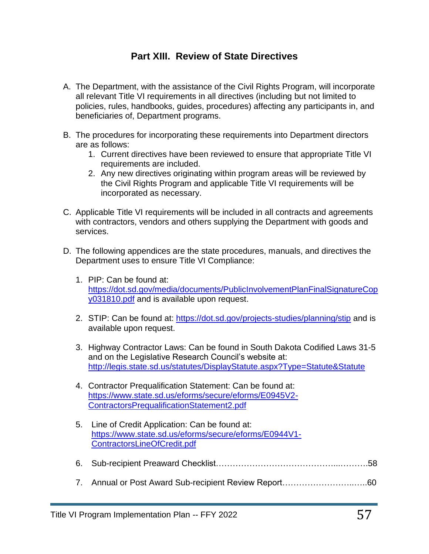## **Part XIII. Review of State Directives**

- A. The Department, with the assistance of the Civil Rights Program, will incorporate all relevant Title VI requirements in all directives (including but not limited to policies, rules, handbooks, guides, procedures) affecting any participants in, and beneficiaries of, Department programs.
- B. The procedures for incorporating these requirements into Department directors are as follows:
	- 1. Current directives have been reviewed to ensure that appropriate Title VI requirements are included.
	- 2. Any new directives originating within program areas will be reviewed by the Civil Rights Program and applicable Title VI requirements will be incorporated as necessary.
- C. Applicable Title VI requirements will be included in all contracts and agreements with contractors, vendors and others supplying the Department with goods and services.
- D. The following appendices are the state procedures, manuals, and directives the Department uses to ensure Title VI Compliance:
	- 1. PIP: Can be found at: [https://dot.sd.gov/media/documents/PublicInvolvementPlanFinalSignatureCop](https://dot.sd.gov/media/documents/PublicInvolvementPlanFinalSignatureCopy031810.pdf) [y031810.pdf](https://dot.sd.gov/media/documents/PublicInvolvementPlanFinalSignatureCopy031810.pdf) and is available upon request.
	- 2. STIP: Can be found at:<https://dot.sd.gov/projects-studies/planning/stip> and is available upon request.
	- 3. Highway Contractor Laws: Can be found in South Dakota Codified Laws 31-5 and on the Legislative Research Council's website at: <http://legis.state.sd.us/statutes/DisplayStatute.aspx?Type=Statute&Statute>
	- 4. Contractor Prequalification Statement: Can be found at: [https://www.state.sd.us/eforms/secure/eforms/E0945V2-](https://www.state.sd.us/eforms/secure/eforms/E0945V2-ContractorsPrequalificationStatement2.pdf) [ContractorsPrequalificationStatement2.pdf](https://www.state.sd.us/eforms/secure/eforms/E0945V2-ContractorsPrequalificationStatement2.pdf)
	- 5. Line of Credit Application: Can be found at: [https://www.state.sd.us/eforms/secure/eforms/E0944V1-](https://www.state.sd.us/eforms/secure/eforms/E0944V1-ContractorsLineOfCredit.pdf) [ContractorsLineOfCredit.pdf](https://www.state.sd.us/eforms/secure/eforms/E0944V1-ContractorsLineOfCredit.pdf)
	- 6. Sub-recipient Preaward Checklist……………………………………...……….58
	- 7. Annual or Post Award Sub-recipient Review Report……………………..…..60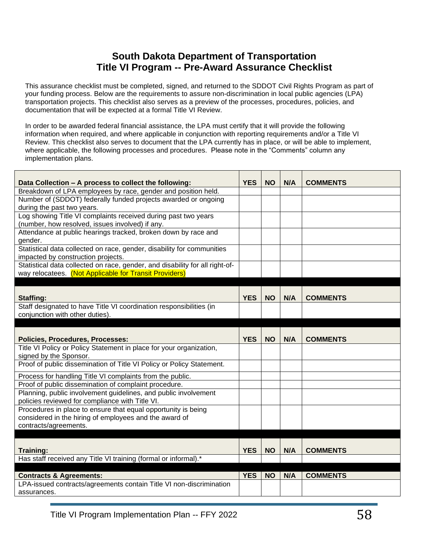## **South Dakota Department of Transportation Title VI Program -- Pre-Award Assurance Checklist**

This assurance checklist must be completed, signed, and returned to the SDDOT Civil Rights Program as part of your funding process. Below are the requirements to assure non-discrimination in local public agencies (LPA) transportation projects. This checklist also serves as a preview of the processes, procedures, policies, and documentation that will be expected at a formal Title VI Review.

In order to be awarded federal financial assistance, the LPA must certify that it will provide the following information when required, and where applicable in conjunction with reporting requirements and/or a Title VI Review. This checklist also serves to document that the LPA currently has in place, or will be able to implement, where applicable, the following processes and procedures. Please note in the "Comments" column any implementation plans.

| Data Collection - A process to collect the following:                              | <b>YES</b> | <b>NO</b> | N/A | <b>COMMENTS</b> |
|------------------------------------------------------------------------------------|------------|-----------|-----|-----------------|
| Breakdown of LPA employees by race, gender and position held.                      |            |           |     |                 |
| Number of (SDDOT) federally funded projects awarded or ongoing                     |            |           |     |                 |
| during the past two years.                                                         |            |           |     |                 |
| Log showing Title VI complaints received during past two years                     |            |           |     |                 |
| (number, how resolved, issues involved) if any.                                    |            |           |     |                 |
| Attendance at public hearings tracked, broken down by race and                     |            |           |     |                 |
| gender.                                                                            |            |           |     |                 |
| Statistical data collected on race, gender, disability for communities             |            |           |     |                 |
| impacted by construction projects.                                                 |            |           |     |                 |
| Statistical data collected on race, gender, and disability for all right-of-       |            |           |     |                 |
| way relocatees. (Not Applicable for Transit Providers)                             |            |           |     |                 |
|                                                                                    |            |           |     |                 |
| <b>Staffing:</b>                                                                   | <b>YES</b> | <b>NO</b> | N/A | <b>COMMENTS</b> |
| Staff designated to have Title VI coordination responsibilities (in                |            |           |     |                 |
| conjunction with other duties).                                                    |            |           |     |                 |
|                                                                                    |            |           |     |                 |
|                                                                                    |            |           |     |                 |
|                                                                                    |            |           |     |                 |
| <b>Policies, Procedures, Processes:</b>                                            | <b>YES</b> | <b>NO</b> | N/A | <b>COMMENTS</b> |
| Title VI Policy or Policy Statement in place for your organization,                |            |           |     |                 |
| signed by the Sponsor.                                                             |            |           |     |                 |
| Proof of public dissemination of Title VI Policy or Policy Statement.              |            |           |     |                 |
| Process for handling Title VI complaints from the public.                          |            |           |     |                 |
| Proof of public dissemination of complaint procedure.                              |            |           |     |                 |
| Planning, public involvement guidelines, and public involvement                    |            |           |     |                 |
| policies reviewed for compliance with Title VI.                                    |            |           |     |                 |
| Procedures in place to ensure that equal opportunity is being                      |            |           |     |                 |
| considered in the hiring of employees and the award of                             |            |           |     |                 |
| contracts/agreements.                                                              |            |           |     |                 |
|                                                                                    |            |           |     |                 |
|                                                                                    |            |           |     |                 |
| <b>Training:</b>                                                                   | <b>YES</b> | <b>NO</b> | N/A | <b>COMMENTS</b> |
| Has staff received any Title VI training (formal or informal).*                    |            |           |     |                 |
|                                                                                    |            |           |     |                 |
| <b>Contracts &amp; Agreements:</b>                                                 | <b>YES</b> | <b>NO</b> | N/A | <b>COMMENTS</b> |
| LPA-issued contracts/agreements contain Title VI non-discrimination<br>assurances. |            |           |     |                 |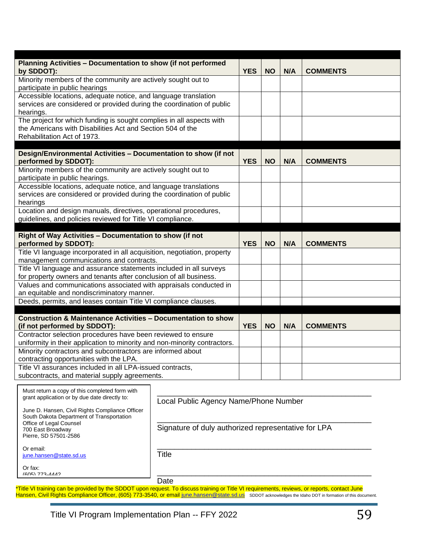| Planning Activities - Documentation to show (if not performed<br>by SDDOT):                                                        | <b>YES</b> | <b>NO</b>  | N/A       | <b>COMMENTS</b> |                 |  |
|------------------------------------------------------------------------------------------------------------------------------------|------------|------------|-----------|-----------------|-----------------|--|
| Minority members of the community are actively sought out to                                                                       |            |            |           |                 |                 |  |
| participate in public hearings                                                                                                     |            |            |           |                 |                 |  |
| Accessible locations, adequate notice, and language translation                                                                    |            |            |           |                 |                 |  |
| services are considered or provided during the coordination of public                                                              |            |            |           |                 |                 |  |
| hearings.                                                                                                                          |            |            |           |                 |                 |  |
| The project for which funding is sought complies in all aspects with<br>the Americans with Disabilities Act and Section 504 of the |            |            |           |                 |                 |  |
| Rehabilitation Act of 1973.                                                                                                        |            |            |           |                 |                 |  |
|                                                                                                                                    |            |            |           |                 |                 |  |
| Design/Environmental Activities - Documentation to show (if not                                                                    |            |            |           |                 |                 |  |
| performed by SDDOT):                                                                                                               |            | <b>YES</b> | <b>NO</b> | N/A             | <b>COMMENTS</b> |  |
| Minority members of the community are actively sought out to                                                                       |            |            |           |                 |                 |  |
| participate in public hearings.                                                                                                    |            |            |           |                 |                 |  |
| Accessible locations, adequate notice, and language translations                                                                   |            |            |           |                 |                 |  |
| services are considered or provided during the coordination of public                                                              |            |            |           |                 |                 |  |
| hearings                                                                                                                           |            |            |           |                 |                 |  |
| Location and design manuals, directives, operational procedures,                                                                   |            |            |           |                 |                 |  |
| guidelines, and policies reviewed for Title VI compliance.                                                                         |            |            |           |                 |                 |  |
|                                                                                                                                    |            |            |           |                 |                 |  |
| Right of Way Activities - Documentation to show (if not                                                                            |            |            |           |                 |                 |  |
| performed by SDDOT):                                                                                                               |            | <b>YES</b> | <b>NO</b> | N/A             | <b>COMMENTS</b> |  |
| Title VI language incorporated in all acquisition, negotiation, property                                                           |            |            |           |                 |                 |  |
| management communications and contracts.<br>Title VI language and assurance statements included in all surveys                     |            |            |           |                 |                 |  |
| for property owners and tenants after conclusion of all business.                                                                  |            |            |           |                 |                 |  |
| Values and communications associated with appraisals conducted in                                                                  |            |            |           |                 |                 |  |
| an equitable and nondiscriminatory manner.                                                                                         |            |            |           |                 |                 |  |
| Deeds, permits, and leases contain Title VI compliance clauses.                                                                    |            |            |           |                 |                 |  |
|                                                                                                                                    |            |            |           |                 |                 |  |
| <b>Construction &amp; Maintenance Activities - Documentation to show</b>                                                           |            |            |           |                 |                 |  |
| (if not performed by SDDOT):                                                                                                       | <b>YES</b> | <b>NO</b>  | N/A       | <b>COMMENTS</b> |                 |  |
| Contractor selection procedures have been reviewed to ensure                                                                       |            |            |           |                 |                 |  |
| uniformity in their application to minority and non-minority contractors.                                                          |            |            |           |                 |                 |  |
| Minority contractors and subcontractors are informed about                                                                         |            |            |           |                 |                 |  |
| contracting opportunities with the LPA.                                                                                            |            |            |           |                 |                 |  |
| Title VI assurances included in all LPA-issued contracts,                                                                          |            |            |           |                 |                 |  |
| subcontracts, and material supply agreements.                                                                                      |            |            |           |                 |                 |  |
| Must return a copy of this completed form with                                                                                     |            |            |           |                 |                 |  |
| grant application or by due date directly to:                                                                                      |            |            |           |                 |                 |  |
| Local Public Agency Name/Phone Number                                                                                              |            |            |           |                 |                 |  |
| June D. Hansen, Civil Rights Compliance Officer<br>South Dakota Department of Transportation                                       |            |            |           |                 |                 |  |
| Office of Legal Counsel                                                                                                            |            |            |           |                 |                 |  |
| Signature of duly authorized representative for LPA<br>700 East Broadway                                                           |            |            |           |                 |                 |  |
| Pierre, SD 57501-2586                                                                                                              |            |            |           |                 |                 |  |
| Or email:                                                                                                                          |            |            |           |                 |                 |  |
| <b>Title</b><br>june.hansen@state.sd.us                                                                                            |            |            |           |                 |                 |  |
| Or fax:                                                                                                                            |            |            |           |                 |                 |  |
| (605) 773-4442                                                                                                                     |            |            |           |                 |                 |  |

Date

\*Title VI training can be provided by the SDDOT upon request. To discuss training or Title VI requirements, reviews, or reports, contact June Hansen, Civil Rights Compliance Officer, (605) 773-3540, or email [june.hansen@state.sd.us](mailto:june.hansen@state.sd.us) SDDOT acknowledges the Idaho DOT in formation of this document.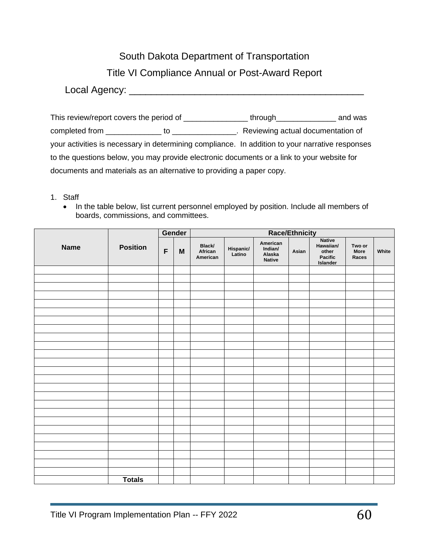South Dakota Department of Transportation

Title VI Compliance Annual or Post-Award Report

Local Agency: \_\_\_\_\_\_\_\_\_\_\_\_\_\_\_\_\_\_\_\_\_\_\_\_\_\_\_\_\_\_\_\_\_\_\_\_\_\_\_\_\_\_\_

This review/report covers the period of \_\_\_\_\_\_\_\_\_\_\_\_\_\_\_\_\_\_\_ through\_\_\_\_\_\_\_\_\_\_\_\_\_\_ and was completed from \_\_\_\_\_\_\_\_\_\_\_\_\_ to \_\_\_\_\_\_\_\_\_\_\_\_\_\_\_. Reviewing actual documentation of your activities is necessary in determining compliance. In addition to your narrative responses to the questions below, you may provide electronic documents or a link to your website for documents and materials as an alternative to providing a paper copy.

- 1. Staff
	- In the table below, list current personnel employed by position. Include all members of boards, commissions, and committees.

|             |                 |             | Gender                    | <b>Race/Ethnicity</b>         |                     |                                                |       |                                                            |                         |       |
|-------------|-----------------|-------------|---------------------------|-------------------------------|---------------------|------------------------------------------------|-------|------------------------------------------------------------|-------------------------|-------|
| <b>Name</b> | <b>Position</b> | $\mathsf F$ | $\boldsymbol{\mathsf{M}}$ | Black/<br>African<br>American | Hispanic/<br>Latino | American<br>Indian/<br>Alaska<br><b>Native</b> | Asian | <b>Native</b><br>Hawaiian/<br>other<br>Pacific<br>Islander | Two or<br>More<br>Races | White |
|             |                 |             |                           |                               |                     |                                                |       |                                                            |                         |       |
|             |                 |             |                           |                               |                     |                                                |       |                                                            |                         |       |
|             |                 |             |                           |                               |                     |                                                |       |                                                            |                         |       |
|             |                 |             |                           |                               |                     |                                                |       |                                                            |                         |       |
|             |                 |             |                           |                               |                     |                                                |       |                                                            |                         |       |
|             |                 |             |                           |                               |                     |                                                |       |                                                            |                         |       |
|             |                 |             |                           |                               |                     |                                                |       |                                                            |                         |       |
|             |                 |             |                           |                               |                     |                                                |       |                                                            |                         |       |
|             |                 |             |                           |                               |                     |                                                |       |                                                            |                         |       |
|             |                 |             |                           |                               |                     |                                                |       |                                                            |                         |       |
|             |                 |             |                           |                               |                     |                                                |       |                                                            |                         |       |
|             |                 |             |                           |                               |                     |                                                |       |                                                            |                         |       |
|             |                 |             |                           |                               |                     |                                                |       |                                                            |                         |       |
|             |                 |             |                           |                               |                     |                                                |       |                                                            |                         |       |
|             |                 |             |                           |                               |                     |                                                |       |                                                            |                         |       |
|             |                 |             |                           |                               |                     |                                                |       |                                                            |                         |       |
|             |                 |             |                           |                               |                     |                                                |       |                                                            |                         |       |
|             |                 |             |                           |                               |                     |                                                |       |                                                            |                         |       |
|             |                 |             |                           |                               |                     |                                                |       |                                                            |                         |       |
|             |                 |             |                           |                               |                     |                                                |       |                                                            |                         |       |
|             |                 |             |                           |                               |                     |                                                |       |                                                            |                         |       |
|             |                 |             |                           |                               |                     |                                                |       |                                                            |                         |       |
|             |                 |             |                           |                               |                     |                                                |       |                                                            |                         |       |
|             |                 |             |                           |                               |                     |                                                |       |                                                            |                         |       |
|             | <b>Totals</b>   |             |                           |                               |                     |                                                |       |                                                            |                         |       |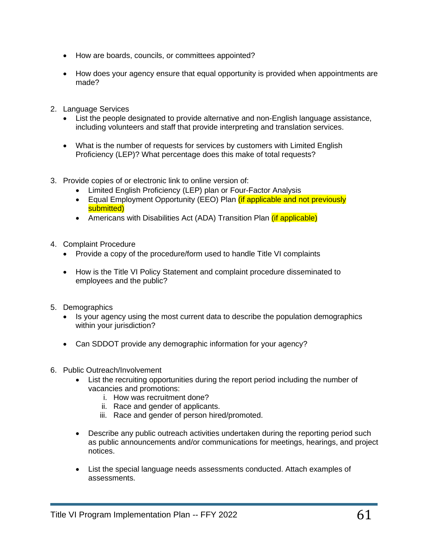- How are boards, councils, or committees appointed?
- How does your agency ensure that equal opportunity is provided when appointments are made?
- 2. Language Services
	- List the people designated to provide alternative and non-English language assistance, including volunteers and staff that provide interpreting and translation services.
	- What is the number of requests for services by customers with Limited English Proficiency (LEP)? What percentage does this make of total requests?
- 3. Provide copies of or electronic link to online version of:
	- Limited English Proficiency (LEP) plan or Four-Factor Analysis
	- Equal Employment Opportunity (EEO) Plan *(if applicable and not previously* submitted)
	- Americans with Disabilities Act (ADA) Transition Plan *(if applicable)*
- 4. Complaint Procedure
	- Provide a copy of the procedure/form used to handle Title VI complaints
	- How is the Title VI Policy Statement and complaint procedure disseminated to employees and the public?
- 5. Demographics
	- Is your agency using the most current data to describe the population demographics within your jurisdiction?
	- Can SDDOT provide any demographic information for your agency?
- 6. Public Outreach/Involvement
	- List the recruiting opportunities during the report period including the number of vacancies and promotions:
		- i. How was recruitment done?
		- ii. Race and gender of applicants.
		- iii. Race and gender of person hired/promoted.
	- Describe any public outreach activities undertaken during the reporting period such as public announcements and/or communications for meetings, hearings, and project notices.
	- List the special language needs assessments conducted. Attach examples of assessments.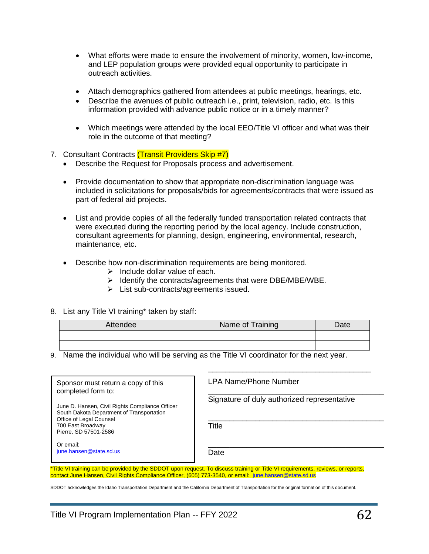- What efforts were made to ensure the involvement of minority, women, low-income, and LEP population groups were provided equal opportunity to participate in outreach activities.
- Attach demographics gathered from attendees at public meetings, hearings, etc.
- Describe the avenues of public outreach i.e., print, television, radio, etc. Is this information provided with advance public notice or in a timely manner?
- Which meetings were attended by the local EEO/Title VI officer and what was their role in the outcome of that meeting?
- 7. Consultant Contracts (Transit Providers Skip #7)
	- Describe the Request for Proposals process and advertisement.
	- Provide documentation to show that appropriate non-discrimination language was included in solicitations for proposals/bids for agreements/contracts that were issued as part of federal aid projects.
	- List and provide copies of all the federally funded transportation related contracts that were executed during the reporting period by the local agency. Include construction, consultant agreements for planning, design, engineering, environmental, research, maintenance, etc.
	- Describe how non-discrimination requirements are being monitored.
		- $\triangleright$  Include dollar value of each.
		- ➢ Identify the contracts/agreements that were DBE/MBE/WBE.
		- ➢ List sub-contracts/agreements issued.
- 8. List any Title VI training\* taken by staff:

| <b>Attendee</b> | Name of Training | Date |
|-----------------|------------------|------|
|                 |                  |      |
|                 |                  |      |

9. Name the individual who will be serving as the Title VI coordinator for the next year.

| Sponsor must return a copy of this<br>completed form to:                                                                | LPA Name/Phone Number                       |
|-------------------------------------------------------------------------------------------------------------------------|---------------------------------------------|
| June D. Hansen, Civil Rights Compliance Officer<br>South Dakota Department of Transportation<br>Office of Legal Counsel | Signature of duly authorized representative |
| 700 East Broadway<br>Pierre, SD 57501-2586<br>Or email:                                                                 | Title                                       |
| june.hansen@state.sd.us                                                                                                 | Date                                        |

.<br>\*Title VI training can be provided by the SDDOT upon request. To discuss training or Title VI requirements, reviews, or reports, contact June Hansen, Civil Rights Compliance Officer, (605) 773-3540, or email: [june.hansen@state.sd.us](mailto:june.hansen@state.sd.us) tie vi training c

SDDOT acknowledges the Idaho Transportation Department and the California Department of Transportation for the original formation of this document.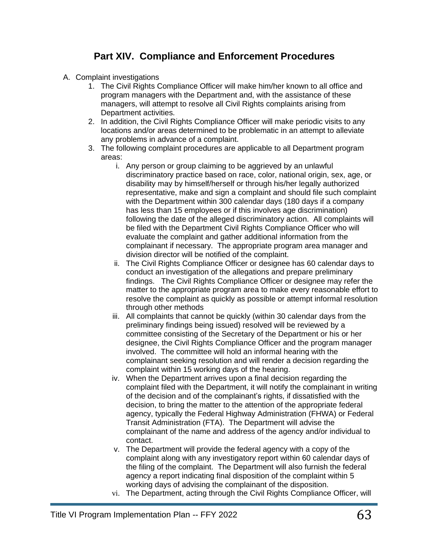## **Part XIV. Compliance and Enforcement Procedures**

- A. Complaint investigations
	- 1. The Civil Rights Compliance Officer will make him/her known to all office and program managers with the Department and, with the assistance of these managers, will attempt to resolve all Civil Rights complaints arising from Department activities.
	- 2. In addition, the Civil Rights Compliance Officer will make periodic visits to any locations and/or areas determined to be problematic in an attempt to alleviate any problems in advance of a complaint.
	- 3. The following complaint procedures are applicable to all Department program areas:
		- i. Any person or group claiming to be aggrieved by an unlawful discriminatory practice based on race, color, national origin, sex, age, or disability may by himself/herself or through his/her legally authorized representative, make and sign a complaint and should file such complaint with the Department within 300 calendar days (180 days if a company has less than 15 employees or if this involves age discrimination) following the date of the alleged discriminatory action. All complaints will be filed with the Department Civil Rights Compliance Officer who will evaluate the complaint and gather additional information from the complainant if necessary. The appropriate program area manager and division director will be notified of the complaint.
		- ii. The Civil Rights Compliance Officer or designee has 60 calendar days to conduct an investigation of the allegations and prepare preliminary findings. The Civil Rights Compliance Officer or designee may refer the matter to the appropriate program area to make every reasonable effort to resolve the complaint as quickly as possible or attempt informal resolution through other methods
		- iii. All complaints that cannot be quickly (within 30 calendar days from the preliminary findings being issued) resolved will be reviewed by a committee consisting of the Secretary of the Department or his or her designee, the Civil Rights Compliance Officer and the program manager involved. The committee will hold an informal hearing with the complainant seeking resolution and will render a decision regarding the complaint within 15 working days of the hearing.
		- iv. When the Department arrives upon a final decision regarding the complaint filed with the Department, it will notify the complainant in writing of the decision and of the complainant's rights, if dissatisfied with the decision, to bring the matter to the attention of the appropriate federal agency, typically the Federal Highway Administration (FHWA) or Federal Transit Administration (FTA). The Department will advise the complainant of the name and address of the agency and/or individual to contact.
		- v. The Department will provide the federal agency with a copy of the complaint along with any investigatory report within 60 calendar days of the filing of the complaint. The Department will also furnish the federal agency a report indicating final disposition of the complaint within 5 working days of advising the complainant of the disposition.
		- vi. The Department, acting through the Civil Rights Compliance Officer, will